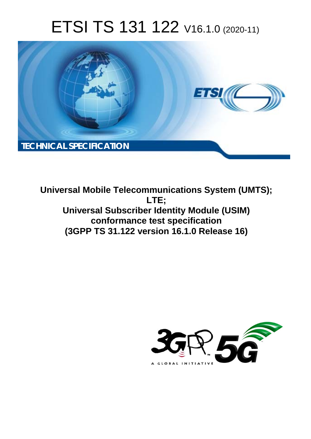# ETSI TS 131 122 V16.1.0 (2020-11)



**Universal Mobile Telecommunications System (UMTS); LTE; Universal Subscriber Identity Module (USIM) conformance test specification (3GPP TS 31.122 version 16.1.0 Release 16)** 

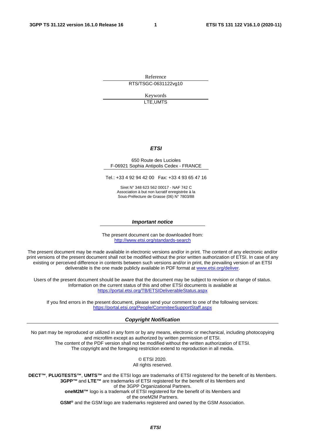Reference RTS/TSGC-0631122vg10

> Keywords LTE,UMTS

#### *ETSI*

#### 650 Route des Lucioles F-06921 Sophia Antipolis Cedex - FRANCE

Tel.: +33 4 92 94 42 00 Fax: +33 4 93 65 47 16

Siret N° 348 623 562 00017 - NAF 742 C Association à but non lucratif enregistrée à la Sous-Préfecture de Grasse (06) N° 7803/88

#### *Important notice*

The present document can be downloaded from: <http://www.etsi.org/standards-search>

The present document may be made available in electronic versions and/or in print. The content of any electronic and/or print versions of the present document shall not be modified without the prior written authorization of ETSI. In case of any existing or perceived difference in contents between such versions and/or in print, the prevailing version of an ETSI deliverable is the one made publicly available in PDF format at [www.etsi.org/deliver](http://www.etsi.org/deliver).

Users of the present document should be aware that the document may be subject to revision or change of status. Information on the current status of this and other ETSI documents is available at <https://portal.etsi.org/TB/ETSIDeliverableStatus.aspx>

If you find errors in the present document, please send your comment to one of the following services: <https://portal.etsi.org/People/CommiteeSupportStaff.aspx>

#### *Copyright Notification*

No part may be reproduced or utilized in any form or by any means, electronic or mechanical, including photocopying and microfilm except as authorized by written permission of ETSI. The content of the PDF version shall not be modified without the written authorization of ETSI. The copyright and the foregoing restriction extend to reproduction in all media.

> © ETSI 2020. All rights reserved.

**DECT™**, **PLUGTESTS™**, **UMTS™** and the ETSI logo are trademarks of ETSI registered for the benefit of its Members. **3GPP™** and **LTE™** are trademarks of ETSI registered for the benefit of its Members and of the 3GPP Organizational Partners. **oneM2M™** logo is a trademark of ETSI registered for the benefit of its Members and of the oneM2M Partners. **GSM®** and the GSM logo are trademarks registered and owned by the GSM Association.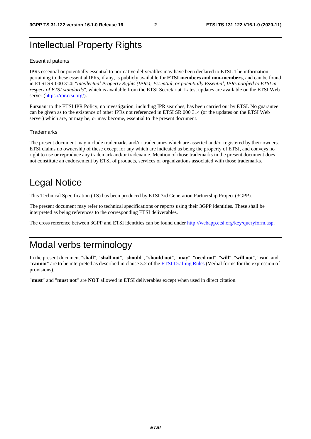## Intellectual Property Rights

#### Essential patents

IPRs essential or potentially essential to normative deliverables may have been declared to ETSI. The information pertaining to these essential IPRs, if any, is publicly available for **ETSI members and non-members**, and can be found in ETSI SR 000 314: *"Intellectual Property Rights (IPRs); Essential, or potentially Essential, IPRs notified to ETSI in respect of ETSI standards"*, which is available from the ETSI Secretariat. Latest updates are available on the ETSI Web server [\(https://ipr.etsi.org/](https://ipr.etsi.org/)).

Pursuant to the ETSI IPR Policy, no investigation, including IPR searches, has been carried out by ETSI. No guarantee can be given as to the existence of other IPRs not referenced in ETSI SR 000 314 (or the updates on the ETSI Web server) which are, or may be, or may become, essential to the present document.

#### **Trademarks**

The present document may include trademarks and/or tradenames which are asserted and/or registered by their owners. ETSI claims no ownership of these except for any which are indicated as being the property of ETSI, and conveys no right to use or reproduce any trademark and/or tradename. Mention of those trademarks in the present document does not constitute an endorsement by ETSI of products, services or organizations associated with those trademarks.

## Legal Notice

This Technical Specification (TS) has been produced by ETSI 3rd Generation Partnership Project (3GPP).

The present document may refer to technical specifications or reports using their 3GPP identities. These shall be interpreted as being references to the corresponding ETSI deliverables.

The cross reference between 3GPP and ETSI identities can be found under<http://webapp.etsi.org/key/queryform.asp>.

## Modal verbs terminology

In the present document "**shall**", "**shall not**", "**should**", "**should not**", "**may**", "**need not**", "**will**", "**will not**", "**can**" and "**cannot**" are to be interpreted as described in clause 3.2 of the [ETSI Drafting Rules](https://portal.etsi.org/Services/editHelp!/Howtostart/ETSIDraftingRules.aspx) (Verbal forms for the expression of provisions).

"**must**" and "**must not**" are **NOT** allowed in ETSI deliverables except when used in direct citation.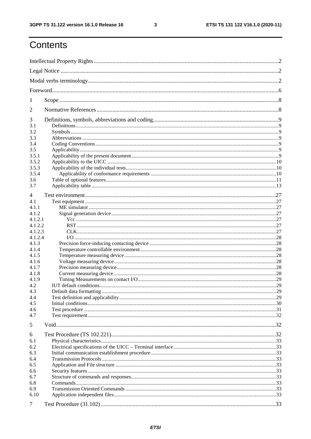$\mathbf{3}$ 

## Contents

| 1                  |  |  |  |
|--------------------|--|--|--|
| 2                  |  |  |  |
| 3                  |  |  |  |
| 3.1                |  |  |  |
| 3.2                |  |  |  |
| 3.3                |  |  |  |
| 3.4                |  |  |  |
| 3.5                |  |  |  |
| 3.5.1<br>3.5.2     |  |  |  |
| 3.5.3              |  |  |  |
| 3.5.4              |  |  |  |
| 3.6                |  |  |  |
| 3.7                |  |  |  |
|                    |  |  |  |
| 4                  |  |  |  |
| 4.1                |  |  |  |
| 4.1.1              |  |  |  |
| 4.1.2              |  |  |  |
| 4.1.2.1            |  |  |  |
| 4.1.2.2<br>4.1.2.3 |  |  |  |
| 4.1.2.4            |  |  |  |
| 4.1.3              |  |  |  |
| 4.1.4              |  |  |  |
| 4.1.5              |  |  |  |
| 4.1.6              |  |  |  |
| 4.1.7              |  |  |  |
| 4.1.8              |  |  |  |
| 4.1.9              |  |  |  |
| 4.2                |  |  |  |
| 4.3                |  |  |  |
| 4.4                |  |  |  |
| 4.5                |  |  |  |
| 4.6                |  |  |  |
| 4.7                |  |  |  |
| 5                  |  |  |  |
| 6                  |  |  |  |
| 6.1                |  |  |  |
| 6.2                |  |  |  |
| 6.3                |  |  |  |
| 6.4                |  |  |  |
| 6.5                |  |  |  |
| 6.6                |  |  |  |
| 6.7                |  |  |  |
| 6.8                |  |  |  |
| 6.9                |  |  |  |
| 6.10               |  |  |  |
| 7                  |  |  |  |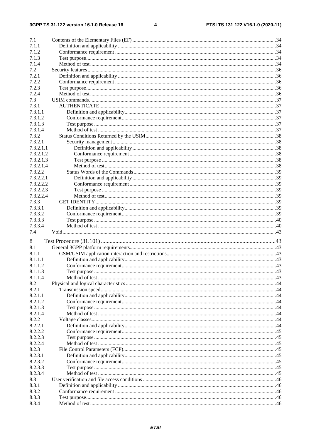#### $\overline{\mathbf{4}}$

| 7.1       |  |
|-----------|--|
| 7.1.1     |  |
| 7.1.2     |  |
| 7.1.3     |  |
| 7.1.4     |  |
| 7.2       |  |
| 7.2.1     |  |
| 7.2.2     |  |
| 7.2.3     |  |
|           |  |
| 7.2.4     |  |
| 7.3       |  |
| 7.3.1     |  |
| 7.3.1.1   |  |
| 7.3.1.2   |  |
| 7.3.1.3   |  |
| 7.3.1.4   |  |
| 7.3.2     |  |
| 7.3.2.1   |  |
| 7.3.2.1.1 |  |
| 7.3.2.1.2 |  |
| 7.3.2.1.3 |  |
| 7.3.2.1.4 |  |
| 7.3.2.2   |  |
| 7.3.2.2.1 |  |
|           |  |
| 7.3.2.2.2 |  |
| 7.3.2.2.3 |  |
| 7.3.2.2.4 |  |
| 7.3.3     |  |
| 7.3.3.1   |  |
| 7.3.3.2   |  |
| 7.3.3.3   |  |
| 7.3.3.4   |  |
| 7.4       |  |
|           |  |
| 8         |  |
| 8.1       |  |
| 8.1.1     |  |
| 8.1.1.1   |  |
| 8.1.1.2   |  |
| 8.1.1.3   |  |
| 8.1.1.4   |  |
| 8.2       |  |
| 8.2.1     |  |
| 8.2.1.1   |  |
| 8.2.1.2   |  |
| 8.2.1.3   |  |
| 8.2.1.4   |  |
| 8.2.2     |  |
|           |  |
| 8.2.2.1   |  |
| 8.2.2.2   |  |
| 8.2.2.3   |  |
| 8.2.2.4   |  |
| 8.2.3     |  |
| 8.2.3.1   |  |
| 8.2.3.2   |  |
| 8.2.3.3   |  |
| 8.2.3.4   |  |
| 8.3       |  |
| 8.3.1     |  |
| 8.3.2     |  |
| 8.3.3     |  |
| 8.3.4     |  |
|           |  |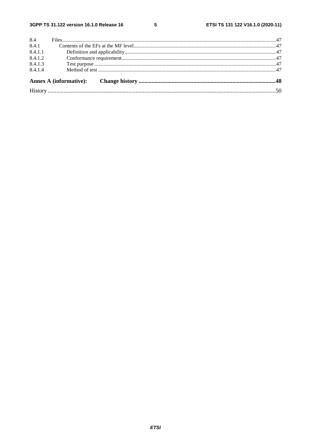| 8.4.1.4 |  |  |
|---------|--|--|
| 8.4.1.3 |  |  |
| 8.4.1.2 |  |  |
| 8.4.1.1 |  |  |
| 8.4.1   |  |  |
| 8.4     |  |  |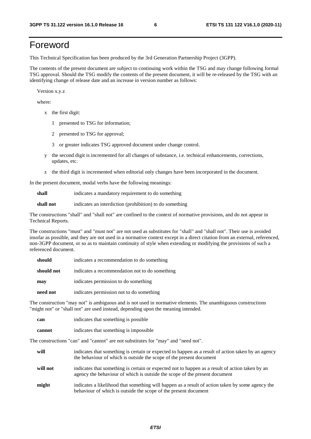## Foreword

This Technical Specification has been produced by the 3rd Generation Partnership Project (3GPP).

The contents of the present document are subject to continuing work within the TSG and may change following formal TSG approval. Should the TSG modify the contents of the present document, it will be re-released by the TSG with an identifying change of release date and an increase in version number as follows:

Version x.y.z

where:

- x the first digit:
	- 1 presented to TSG for information;
	- 2 presented to TSG for approval;
	- 3 or greater indicates TSG approved document under change control.
- y the second digit is incremented for all changes of substance, i.e. technical enhancements, corrections, updates, etc.
- z the third digit is incremented when editorial only changes have been incorporated in the document.

In the present document, modal verbs have the following meanings:

**shall** indicates a mandatory requirement to do something

**shall not** indicates an interdiction (prohibition) to do something

The constructions "shall" and "shall not" are confined to the context of normative provisions, and do not appear in Technical Reports.

The constructions "must" and "must not" are not used as substitutes for "shall" and "shall not". Their use is avoided insofar as possible, and they are not used in a normative context except in a direct citation from an external, referenced, non-3GPP document, or so as to maintain continuity of style when extending or modifying the provisions of such a referenced document.

| should     | indicates a recommendation to do something     |  |
|------------|------------------------------------------------|--|
| should not | indicates a recommendation not to do something |  |
| may        | indicates permission to do something           |  |
| need not   | indicates permission not to do something       |  |

The construction "may not" is ambiguous and is not used in normative elements. The unambiguous constructions "might not" or "shall not" are used instead, depending upon the meaning intended.

| can    | indicates that something is possible   |
|--------|----------------------------------------|
| cannot | indicates that something is impossible |

The constructions "can" and "cannot" are not substitutes for "may" and "need not".

| will     | indicates that something is certain or expected to happen as a result of action taken by an agency<br>the behaviour of which is outside the scope of the present document     |
|----------|-------------------------------------------------------------------------------------------------------------------------------------------------------------------------------|
| will not | indicates that something is certain or expected not to happen as a result of action taken by an<br>agency the behaviour of which is outside the scope of the present document |
| might    | indicates a likelihood that something will happen as a result of action taken by some agency the<br>behaviour of which is outside the scope of the present document           |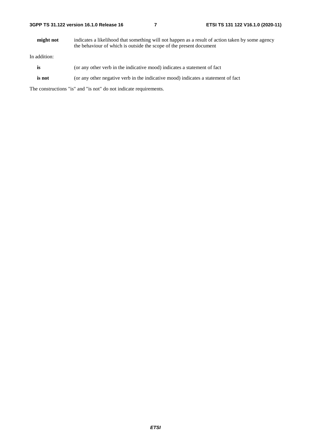| 3GPP TS 31.122 version 16.1.0 Release 16 |  |
|------------------------------------------|--|
|------------------------------------------|--|

**might not** indicates a likelihood that something will not happen as a result of action taken by some agency the behaviour of which is outside the scope of the present document

In addition:

- is (or any other verb in the indicative mood) indicates a statement of fact
- **is not** (or any other negative verb in the indicative mood) indicates a statement of fact

The constructions "is" and "is not" do not indicate requirements.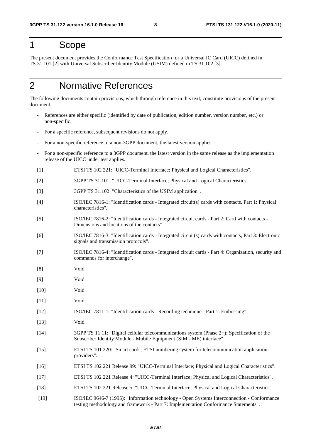### 1 Scope

The present document provides the Conformance Test Specification for a Universal IC Card (UICC) defined in TS 31.101 [2] with Universal Subscriber Identity Module (USIM) defined in TS 31.102 [3].

## 2 Normative References

The following documents contain provisions, which through reference in this text, constitute provisions of the present document.

- References are either specific (identified by date of publication, edition number, version number, etc.) or non-specific.
- For a specific reference, subsequent revisions do not apply.
- For a non-specific reference to a non-3GPP document, the latest version applies.
- For a non-specific reference to a 3GPP document, the latest version in the same release as the implementation release of the UICC under test applies.
- [1] ETSI TS 102 221: "UICC-Terminal Interface; Physical and Logical Characteristics".
- [2] 3GPP TS 31.101: "UICC-Terminal Interface; Physical and Logical Characteristics".
- [3] 3GPP TS 31.102: "Characteristics of the USIM application".
- [4] ISO/IEC 7816-1: "Identification cards Integrated circuit(s) cards with contacts, Part 1: Physical characteristics".
- [5] ISO/IEC 7816-2: "Identification cards Integrated circuit cards Part 2: Card with contacts Dimensions and locations of the contacts".
- [6] ISO/IEC 7816-3: "Identification cards Integrated circuit(s) cards with contacts, Part 3: Electronic signals and transmission protocols".
- [7] ISO/IEC 7816-4: "Identification cards Integrated circuit cards Part 4: Organization, security and commands for interchange".
- [8] Void
- [9] Void
- [10] Void
- [11] Void
- [12] ISO/IEC 7811-1: "Identification cards Recording technique Part 1: Embossing"
- [13] Void
- [14] 3GPP TS 11.11: "Digital cellular telecommunications system (Phase 2+); Specification of the Subscriber Identity Module - Mobile Equipment (SIM - ME) interface".
- [15] ETSI TS 101 220: "Smart cards; ETSI numbering system for telecommunication application providers".
- [16] ETSI TS 102 221 Release 99: "UICC-Terminal Interface; Physical and Logical Characteristics".
- [17] ETSI TS 102 221 Release 4: "UICC-Terminal Interface; Physical and Logical Characteristics".
- [18] ETSI TS 102 221 Release 5: "UICC-Terminal Interface; Physical and Logical Characteristics".
- [19] ISO/IEC 9646-7 (1995): "Information technology Open Systems Interconnection Conformance testing methodology and framework - Part 7: Implementation Conformance Statements".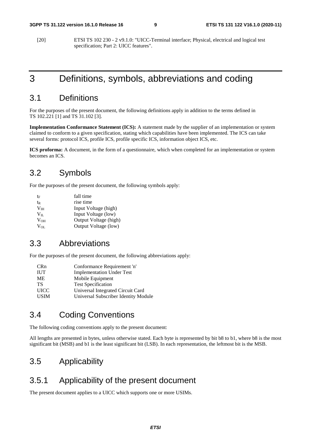[20] ETSI TS 102 230 - 2 v9.1.0: "UICC-Terminal interface; Physical, electrical and logical test specification; Part 2: UICC features".

## 3 Definitions, symbols, abbreviations and coding

### 3.1 Definitions

For the purposes of the present document, the following definitions apply in addition to the terms defined in TS 102.221 [1] and TS 31.102 [3].

**Implementation Conformance Statement (ICS):** A statement made by the supplier of an implementation or system claimed to conform to a given specification, stating which capabilities have been implemented. The ICS can take several forms: protocol ICS, profile ICS, profile specific ICS, information object ICS, etc.

**ICS proforma:** A document, in the form of a questionnaire, which when completed for an implementation or system becomes an ICS.

### 3.2 Symbols

For the purposes of the present document, the following symbols apply:

| te              | fall time             |
|-----------------|-----------------------|
| tr              | rise time             |
| V <sub>IH</sub> | Input Voltage (high)  |
| $V_{\rm IL}$    | Input Voltage (low)   |
| $V_{OH}$        | Output Voltage (high) |
| $V_{OL}$        | Output Voltage (low)  |

### 3.3 Abbreviations

For the purposes of the present document, the following abbreviations apply:

| <b>CRn</b>  | Conformance Requirement 'n'          |
|-------------|--------------------------------------|
| <b>IUT</b>  | <b>Implementation Under Test</b>     |
| ME          | Mobile Equipment                     |
| TS          | <b>Test Specification</b>            |
| <b>UICC</b> | Universal Integrated Circuit Card    |
| <b>USIM</b> | Universal Subscriber Identity Module |

### 3.4 Coding Conventions

The following coding conventions apply to the present document:

All lengths are presented in bytes, unless otherwise stated. Each byte is represented by bit b8 to b1, where b8 is the most significant bit (MSB) and b1 is the least significant bit (LSB). In each representation, the leftmost bit is the MSB.

### 3.5 Applicability

### 3.5.1 Applicability of the present document

The present document applies to a UICC which supports one or more USIMs.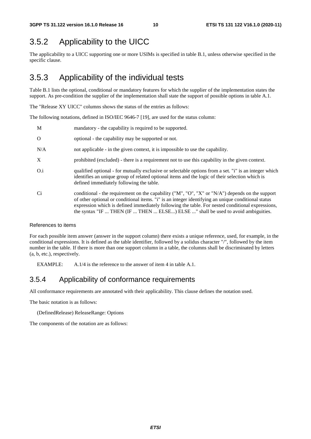### 3.5.2 Applicability to the UICC

The applicability to a UICC supporting one or more USIMs is specified in table B.1, unless otherwise specified in the specific clause.

### 3.5.3 Applicability of the individual tests

Table B.1 lists the optional, conditional or mandatory features for which the supplier of the implementation states the support. As pre-condition the supplier of the implementation shall state the support of possible options in table A.1.

The "Release XY UICC" columns shows the status of the entries as follows:

The following notations, defined in ISO/IEC 9646-7 [19], are used for the status column:

| M              | mandatory - the capability is required to be supported.                                                                                                                                                                                                                                                                                                                                       |
|----------------|-----------------------------------------------------------------------------------------------------------------------------------------------------------------------------------------------------------------------------------------------------------------------------------------------------------------------------------------------------------------------------------------------|
| $\Omega$       | optional - the capability may be supported or not.                                                                                                                                                                                                                                                                                                                                            |
| N/A            | not applicable - in the given context, it is impossible to use the capability.                                                                                                                                                                                                                                                                                                                |
| X              | prohibited (excluded) - there is a requirement not to use this capability in the given context.                                                                                                                                                                                                                                                                                               |
| O <sub>1</sub> | qualified optional - for mutually exclusive or selectable options from a set. "i" is an integer which<br>identifies an unique group of related optional items and the logic of their selection which is<br>defined immediately following the table.                                                                                                                                           |
| Ci             | conditional - the requirement on the capability ("M", "O", "X" or "N/A") depends on the support<br>of other optional or conditional items. "i" is an integer identifying an unique conditional status<br>expression which is defined immediately following the table. For nested conditional expressions,<br>the syntax "IF  THEN (IF  THEN  ELSE) ELSE " shall be used to avoid ambiguities. |

#### References to items

For each possible item answer (answer in the support column) there exists a unique reference, used, for example, in the conditional expressions. It is defined as the table identifier, followed by a solidus character "/", followed by the item number in the table. If there is more than one support column in a table, the columns shall be discriminated by letters (a, b, etc.), respectively.

EXAMPLE: A.1/4 is the reference to the answer of item 4 in table A.1.

### 3.5.4 Applicability of conformance requirements

All conformance requirements are annotated with their applicability. This clause defines the notation used.

The basic notation is as follows:

(DefinedRelease) ReleaseRange: Options

The components of the notation are as follows: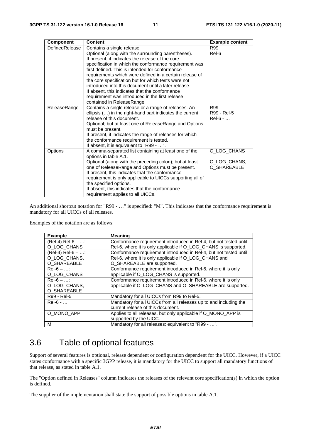| <b>Component</b> | <b>Content</b>                                                             | <b>Example content</b> |
|------------------|----------------------------------------------------------------------------|------------------------|
| DefinedRelease   | Contains a single release.                                                 | R99                    |
|                  | Optional (along with the surrounding parentheses).                         | Rel-6                  |
|                  | If present, it indicates the release of the core                           |                        |
|                  | specification in which the conformance requirement was                     |                        |
|                  | first defined. This is intended for conformance                            |                        |
|                  | requirements which were defined in a certain release of                    |                        |
|                  | the core specification but for which tests were not                        |                        |
|                  | introduced into this document until a later release.                       |                        |
|                  | If absent, this indicates that the conformance                             |                        |
|                  | requirement was introduced in the first release                            |                        |
|                  | contained in ReleaseRange.                                                 |                        |
| ReleaseRange     | Contains a single release or a range of releases. An                       | R99                    |
|                  | ellipsis () in the right-hand part indicates the current                   | R99 - Rel-5            |
|                  | release of this document.                                                  | $Rel-6 - $             |
|                  | Optional; but at least one of ReleaseRange and Options<br>must be present. |                        |
|                  | If present, it indicates the range of releases for which                   |                        |
|                  | the conformance requirement is tested.                                     |                        |
|                  | If absent, it is equivalent to "R99 - ".                                   |                        |
| Options          | A comma-separated list containing at least one of the                      | O_LOG_CHANS            |
|                  | options in table A.1.                                                      |                        |
|                  | Optional (along with the preceding colon); but at least                    | O_LOG_CHANS,           |
|                  | one of ReleaseRange and Options must be present.                           | O_SHAREABLE            |
|                  | If present, this indicates that the conformance                            |                        |
|                  | requirement is only applicable to UICCs supporting all of                  |                        |
|                  | the specified options.                                                     |                        |
|                  | If absent, this indicates that the conformance                             |                        |
|                  | requirement applies to all UICCs.                                          |                        |

An additional shortcut notation for "R99 - …" is specified: "M". This indicates that the conformance requirement is mandatory for all UICCs of all releases.

Examples of the notation are as follows:

| <b>Example</b>     | <b>Meaning</b>                                                    |
|--------------------|-------------------------------------------------------------------|
| $(Rel-4) Rel-6 - $ | Conformance requirement introduced in Rel-4, but not tested until |
| O_LOG_CHANS        | Rel-6, where it is only applicable if O_LOG_CHANS is supported.   |
| $(Rel-4) Rel-6 - $ | Conformance requirement introduced in Rel-4, but not tested until |
| O_LOG_CHANS,       | Rel-6, where it is only applicable if O_LOG_CHANS and             |
| O_SHAREABLE        | O_SHAREABLE are supported.                                        |
| $Rel-6 - $         | Conformance requirement introduced in Rel-6, where it is only     |
| O LOG CHANS        | applicable if O_LOG_CHANS is supported.                           |
| $Rel-6 - $         | Conformance requirement introduced in Rel-6, where it is only     |
| O LOG CHANS,       | applicable if O_LOG_CHANS and O_SHAREABLE are supported.          |
| O_SHAREABLE        |                                                                   |
| R99 - Rel-5        | Mandatory for all UICCs from R99 to Rel-5.                        |
| $ReI-6 - $         | Mandatory for all UICCs from all releases up to and including the |
|                    | current release of this document.                                 |
| O_MONO_APP         | Applies to all releases, but only applicable if O MONO APP is     |
|                    | supported by the UICC.                                            |
| M                  | Mandatory for all releases; equivalent to "R99 - ".               |

## 3.6 Table of optional features

Support of several features is optional, release dependent or configuration dependent for the UICC. However, if a UICC states conformance with a specific 3GPP release, it is mandatory for the UICC to support all mandatory functions of that release, as stated in table A.1.

The "Option defined in Releases" column indicates the releases of the relevant core specification(s) in which the option is defined.

The supplier of the implementation shall state the support of possible options in table A.1.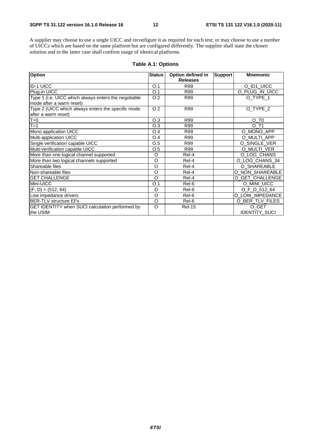A supplier may choose to use a single UICC and reconfigure it as required for each test; or may choose to use a number of UICCs which are based on the same platform but are configured differently. The supplier shall state the chosen solution and in the latter case shall confirm usage of identical platforms.

| <b>Option</b>                                          | <b>Status</b> | Option defined in | <b>Support</b> | <b>Mnemonic</b>      |
|--------------------------------------------------------|---------------|-------------------|----------------|----------------------|
|                                                        |               | <b>Releases</b>   |                |                      |
| <b>ID-1 UICC</b>                                       | O.1           | R99               |                | O_ID1_UICC           |
| Plug-in UICC                                           | O.1           | R99               |                | O_PLUG_IN_UICC       |
| Type 1 (i.e. UICC which always enters the negotiable   | O.2           | R99               |                | O_TYPE_1             |
| mode after a warm reset)                               |               |                   |                |                      |
| Type 2 (UICC which always enters the specific mode     | O.2           | R99               |                | O_TYPE_2             |
| after a warm reset)                                    |               |                   |                |                      |
| $T=0$                                                  | O.3           | R99               |                | $O$ _T <sub>0</sub>  |
| $T=1$                                                  | O.3           | R99               |                | O T1                 |
| Mono application UICC                                  | O.4           | R99               |                | O_MONO_APP           |
| Multi-application UICC                                 | O.4           | R99               |                | O_MULTI_APP          |
| Single verification capable UICC                       | O.5           | R99               |                | O SINGLE VER         |
| Multi-verification capable UICC                        | O.5           | R99               |                | O MULTI VER          |
| More than one logical channel supported                | O             | Rel-4             |                | O_LOG_CHANS          |
| More than two logical channels supported               | O             | Rel-4             |                | O_LOG_CHANS_34       |
| Shareable files                                        | $\circ$       | Rel-4             |                | O_SHAREABLE          |
| Non-shareable files                                    | O             | Rel-4             |                | O NON SHAREABLE      |
| IGET CHALLENGE                                         | $\circ$       | Rel-4             |                | O_GET_CHALLENGE      |
| Mini-UICC                                              | O.1           | Rel-6             |                | O MINI UICC          |
| $(F, D) = (512, 64)$                                   | O             | Rel-6             |                | O F D 512 64         |
| Low impedance drivers                                  | $\circ$       | Rel-6             |                | O LOW IMPEDANCE      |
| <b>IBER-TLV structure EFs</b>                          | O             | Rel-6             |                | O BER TLV FILES      |
| <b>GET IDENTITY when SUCI calculation performed by</b> | $\circ$       | <b>Rel-15</b>     |                | O_GET                |
| the USIM                                               |               |                   |                | <b>IDENTITY SUCI</b> |

#### **Table A.1: Options**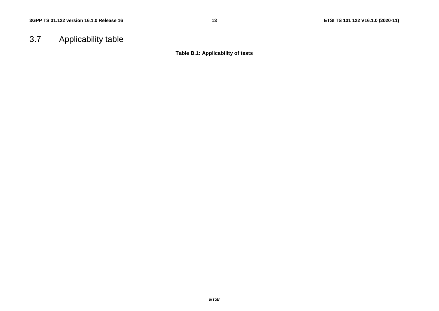## 3.7 Applicability table

**Table B.1: Applicability of tests**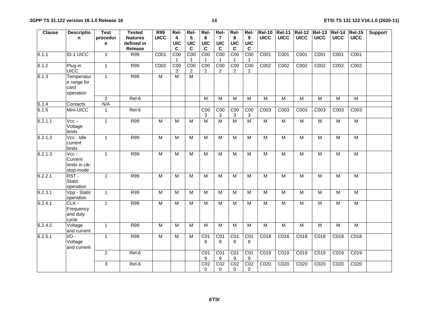| <b>Clause</b> | <b>Descriptio</b>                                                   | <b>Test</b>    | <b>Tested</b> | R99                     | Rel-                               | Rel-                              | Rel-                              | Rel-                                         | Rel-                              | Rel-                            | <b>Rel-10</b>    |                  | Rel-11   Rel-12   Rel-13 |                   | <b>Rel-14</b>  | <b>Rel-15</b>    | <b>Support</b> |
|---------------|---------------------------------------------------------------------|----------------|---------------|-------------------------|------------------------------------|-----------------------------------|-----------------------------------|----------------------------------------------|-----------------------------------|---------------------------------|------------------|------------------|--------------------------|-------------------|----------------|------------------|----------------|
|               | n                                                                   | procedur       | features      | <b>UICC</b>             | $\overline{4}$                     | $5\phantom{1}$                    | 6                                 | $\overline{7}$                               | 8                                 | $\mathbf{9}$                    | <b>UICC</b>      | <b>UICC</b>      | <b>UICC</b>              | <b>UICC</b>       | <b>UICC</b>    | <b>UICC</b>      |                |
|               |                                                                     | е              | defined in    |                         | <b>UIC</b>                         | UIC                               | <b>UIC</b>                        | <b>UIC</b>                                   | <b>UIC</b>                        | <b>UIC</b>                      |                  |                  |                          |                   |                |                  |                |
|               |                                                                     |                | Release       |                         | C                                  | C                                 | C                                 | C                                            | C                                 | C                               |                  |                  |                          |                   |                |                  |                |
| 6.1.1         | <b>ID-1 UICC</b>                                                    | $\mathbf{1}$   | R99           | C001                    | COO                                | C <sub>00</sub>                   | C <sub>00</sub><br>$\overline{1}$ | C <sub>00</sub>                              | COO                               | C <sub>00</sub>                 | C001             | C001             | C001                     | C001              | C001           | C001             |                |
| 6.1.2         | Plug-in<br><b>UICC</b>                                              | $\mathbf{1}$   | R99           | C002                    | $\overline{COO}$<br>$\overline{2}$ | C <sub>00</sub><br>$\overline{2}$ | COO<br>2                          | COO<br>2                                     | C <sub>00</sub><br>$\overline{2}$ | C <sub>00</sub><br>2            | C002             | C002             | C002                     | C002              | C002           | C <sub>002</sub> |                |
| 6.1.3         | Temperatur<br>e range for<br>card<br>operation                      | $\mathbf{1}$   | R99           | M                       | $\overline{M}$                     | $\overline{\mathsf{M}}$           |                                   |                                              |                                   |                                 |                  |                  |                          |                   |                |                  |                |
|               |                                                                     | $\overline{2}$ | Rel-6         |                         |                                    |                                   | M                                 | $\overline{M}$                               | M                                 | M                               | $\overline{M}$   | M                | M                        | M                 | $\overline{M}$ | M                |                |
| 6.1.4         | Contacts                                                            | N/A            |               |                         |                                    |                                   |                                   |                                              |                                   |                                 |                  |                  |                          |                   |                |                  |                |
| 6.1.5         | Mini-UICC                                                           | $\mathbf{1}$   | Rel-6         |                         |                                    |                                   | $\overline{COO}$<br>$\sqrt{3}$    | C <sub>00</sub><br>$\ensuremath{\mathsf{3}}$ | COO<br>3                          | C <sub>00</sub><br>$\mathbf{3}$ | C <sub>003</sub> | C <sub>003</sub> | C <sub>003</sub>         | C003              | C003           | C <sub>003</sub> |                |
| 6.2.1.1       | $Vcc -$<br>Voltage<br>limits                                        | $\mathbf{1}$   | R99           | $\overline{M}$          | M                                  | M                                 | $\overline{M}$                    | $\overline{M}$                               | $\overline{M}$                    | $\overline{M}$                  | $\overline{M}$   | $\overline{M}$   | $\overline{M}$           | $\overline{M}$    | $\overline{M}$ | $\overline{M}$   |                |
| 6.2.1.2       | Vcc - Idle<br>current<br>limits                                     | $\mathbf{1}$   | R99           | $\overline{M}$          | м                                  | M                                 | M                                 | M                                            | M                                 | M                               | $\overline{M}$   | M                | M                        | M                 | M              | M                |                |
| 6.2.1.3       | $\overline{\text{Vcc}}$ -<br>Current<br>limits in clk-<br>stop-mode | $\mathbf{1}$   | R99           | $\overline{M}$          | M                                  | $\overline{M}$                    | $\overline{M}$                    | $\overline{M}$                               | M                                 | M                               | $\overline{M}$   | $\overline{M}$   | $\overline{M}$           | $\overline{M}$    | $\overline{M}$ | $\overline{M}$   |                |
| 6.2.2.1       | $RST -$<br><b>Static</b><br>operation                               | $\mathbf{1}$   | R99           | $\overline{\mathsf{M}}$ | M                                  | $\overline{M}$                    | M                                 | M                                            | M                                 | M                               | $\overline{M}$   | M                | M                        | M                 | $\overline{M}$ | M                |                |
| 6.2.3.1       | Vpp - Static<br>operation                                           | $\mathbf{1}$   | <b>R99</b>    | M                       | м                                  | M                                 | M                                 | M                                            | M                                 | M                               | $\overline{M}$   | M                | $\overline{M}$           | M                 | M              | M                |                |
| 6.2.4.1       | CLK -<br>Frequency<br>and duty<br>cycle                             | $\mathbf{1}$   | <b>R99</b>    | M                       | M                                  | M                                 | M                                 | M                                            | M                                 | M                               | M                | M                | M                        | M                 | M              | $\overline{M}$   |                |
| 6.2.4.2       | Voltage<br>and current                                              | $\mathbf{1}$   | R99           | $\overline{M}$          | M                                  | $\overline{M}$                    | $\overline{M}$                    | $\overline{M}$                               | $\overline{M}$                    | $\overline{M}$                  | $\overline{M}$   | $\overline{M}$   | $\overline{M}$           | $\overline{M}$    | $\overline{M}$ | $\overline{M}$   |                |
| 6.2.5.1       | $\overline{1/O}$ -<br>Voltage<br>and current                        | $\overline{1}$ | R99           | $\overline{M}$          | M                                  | M                                 | CO <sub>1</sub><br>8              | CO <sub>1</sub><br>8                         | $\overline{CO1}$<br>8             | CO <sub>1</sub><br>8            | C018             | C018             | C018                     | $\overline{CO18}$ | C018           | C <sub>018</sub> |                |
|               |                                                                     | $\overline{2}$ | Rel-6         |                         |                                    |                                   | CO1<br>9                          | CO1<br>$\boldsymbol{9}$                      | CO <sub>1</sub><br>$9$            | C <sub>01</sub><br>9            | C019             | C019             | C019                     | C019              | C019           | C019             |                |
|               |                                                                     | 3              | Rel-6         |                         |                                    |                                   | CO <sub>2</sub><br>$\Omega$       | CO <sub>2</sub><br>$\Omega$                  | CO <sub>2</sub><br>$\Omega$       | C <sub>02</sub><br>$\Omega$     | C020             | C020             | C020                     | C020              | C020           | C020             |                |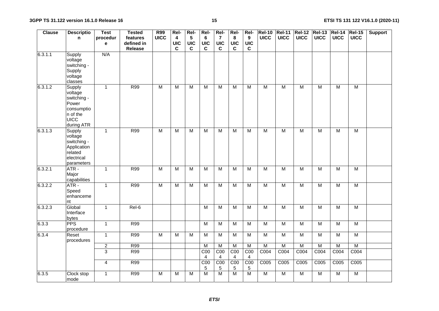| <b>Clause</b> | <b>Descriptio</b>                                                                                       | <b>Test</b>    | <b>Tested</b> | <b>R99</b>     | Rel-           | Rel-                    | Rel-                               | Rel-                  | Rel-                  | Rel-                 | <b>Rel-10</b>    | <b>Rel-11</b>  |                  | <b>Rel-12 Rel-13</b> | $ReI-14$                | $ReI-15$                | <b>Support</b> |
|---------------|---------------------------------------------------------------------------------------------------------|----------------|---------------|----------------|----------------|-------------------------|------------------------------------|-----------------------|-----------------------|----------------------|------------------|----------------|------------------|----------------------|-------------------------|-------------------------|----------------|
|               | n.                                                                                                      | procedur       | features      | <b>UICC</b>    | 4              | $\sqrt{5}$              | 6                                  | $\overline{7}$        | 8                     | 9                    | <b>UICC</b>      | <b>UICC</b>    | <b>UICC</b>      | <b>UICC</b>          | <b>UICC</b>             | <b>UICC</b>             |                |
|               |                                                                                                         | e              | defined in    |                | UIC            | <b>UIC</b>              | <b>UIC</b>                         | <b>UIC</b>            | <b>UIC</b>            | <b>UIC</b>           |                  |                |                  |                      |                         |                         |                |
|               |                                                                                                         |                | Release       |                | C              | $\mathbf c$             | $\mathbf c$                        | C                     | C                     | $\mathbf c$          |                  |                |                  |                      |                         |                         |                |
| 6.3.1.1       | Supply<br>voltage<br>switching -<br>Supply<br>voltage<br>classes                                        | N/A            |               |                |                |                         |                                    |                       |                       |                      |                  |                |                  |                      |                         |                         |                |
| 6.3.1.2       | <b>Supply</b><br>voltage<br>switching -<br>Power<br>consumptio<br>n of the<br><b>UICC</b><br>during ATR | $\overline{1}$ | <b>R99</b>    | $\overline{M}$ | $\overline{M}$ | M                       | M                                  | $\overline{M}$        | $\overline{M}$        | $\overline{M}$       | $\overline{M}$   | $\overline{M}$ | $\overline{M}$   | $\overline{M}$       | $\overline{M}$          | M                       |                |
| 6.3.1.3       | Supply<br>voltage<br>switching -<br>Application<br>related<br>electrical<br>parameters                  | $\mathbf{1}$   | R99           | $\overline{M}$ | M              | $\overline{M}$          | $\overline{M}$                     | $\overline{M}$        | M                     | M                    | $\overline{M}$   | $\overline{M}$ | M                | $\overline{M}$       | $\overline{M}$          | $\overline{M}$          |                |
| 6.3.2.1       | ATR-<br>Major<br>capabilities                                                                           | $\mathbf{1}$   | R99           | M              | $\overline{M}$ | $\overline{\mathsf{M}}$ | $\overline{M}$                     | $\overline{M}$        | $\overline{M}$        | $\overline{M}$       | $\overline{M}$   | $\overline{M}$ | $\overline{M}$   | $\overline{M}$       | $\overline{M}$          | M                       |                |
| 6.3.2.2       | ATR-<br>Speed<br>enhanceme<br>nt                                                                        | $\mathbf{1}$   | <b>R99</b>    | $\overline{M}$ | $\overline{M}$ | $\overline{M}$          | $\overline{M}$                     | $\overline{M}$        | $\overline{M}$        | $\overline{M}$       | $\overline{M}$   | $\overline{M}$ | $\overline{M}$   | $\overline{M}$       | $\overline{M}$          | $\overline{M}$          |                |
| 6.3.2.3       | Global<br>Interface<br>bytes                                                                            | $\overline{1}$ | $Rel-6$       |                |                |                         | $\overline{M}$                     | $\overline{M}$        | $\overline{M}$        | $\overline{M}$       | $\overline{M}$   | $\overline{M}$ | $\overline{M}$   | $\overline{M}$       | $\overline{\mathsf{M}}$ | $\overline{\mathsf{M}}$ |                |
| 6.3.3         | <b>PPS</b><br>procedure                                                                                 | $\mathbf{1}$   | <b>R99</b>    |                |                |                         | $\overline{M}$                     | $\overline{M}$        | $\overline{M}$        | $\overline{M}$       | $\overline{M}$   | M              | $\overline{M}$   | $\overline{M}$       | $\overline{M}$          | M                       |                |
| 6.3.4         | Reset<br>procedures                                                                                     | $\overline{1}$ | R99           | $\overline{M}$ | $\overline{M}$ | $\overline{\mathsf{M}}$ | M                                  | $\overline{M}$        | $\overline{M}$        | $\overline{M}$       | $\overline{M}$   | $\overline{M}$ | M                | M                    | M                       | M                       |                |
|               |                                                                                                         | $\overline{c}$ | <b>R99</b>    |                |                |                         | M                                  | M                     | M                     | ${\sf M}$            | M                | ${\sf M}$      | M                | M                    | M                       | $\overline{M}$          |                |
|               |                                                                                                         | $\overline{3}$ | R99           |                |                |                         | $\overline{COO}$<br>$\overline{4}$ | COO<br>$\overline{4}$ | COO<br>$\overline{4}$ | C <sub>00</sub><br>4 | C <sub>004</sub> | C004           | C <sub>004</sub> | C <sub>004</sub>     | C <sub>004</sub>        | C <sub>004</sub>        |                |
|               |                                                                                                         | $\overline{4}$ | R99           |                |                |                         | C <sub>00</sub><br>5               | C <sub>00</sub><br>5  | COO<br>$\sqrt{5}$     | C <sub>00</sub><br>5 | C005             | C005           | C005             | C005                 | C005                    | C005                    |                |
| 6.3.5         | Clock stop<br>mode                                                                                      | $\mathbf{1}$   | <b>R99</b>    | M              | M              | M                       | M                                  | $\overline{M}$        | $\overline{M}$        | M                    | $\overline{M}$   | $\overline{M}$ | M                | M                    | M                       | $\overline{M}$          |                |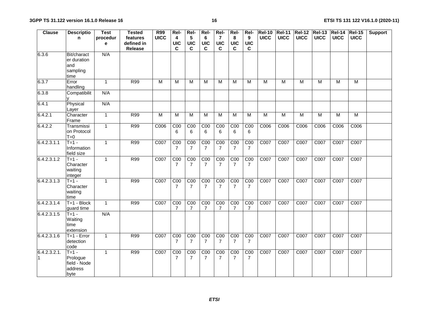| <b>Clause</b>      | <b>Descriptio</b><br>n.                                  | <b>Test</b><br>procedur | <b>Tested</b><br>features | R99<br><b>UICC</b>      | Rel-<br>4                         | Rel-<br>5                         | Rel-<br>6                         | Rel-<br>$\overline{7}$            | Rel-<br>8                         | Rel-<br>9                         | <b>Rel-10</b><br><b>UICC</b> | <b>Rel-11</b><br><b>UICC</b> | <b>UICC</b> | <b>Rel-12 Rel-13</b><br><b>UICC</b> | $ReI-14$<br><b>UICC</b> | $ReI-15$<br><b>UICC</b> | <b>Support</b> |
|--------------------|----------------------------------------------------------|-------------------------|---------------------------|-------------------------|-----------------------------------|-----------------------------------|-----------------------------------|-----------------------------------|-----------------------------------|-----------------------------------|------------------------------|------------------------------|-------------|-------------------------------------|-------------------------|-------------------------|----------------|
|                    |                                                          | e                       | defined in<br>Release     |                         | <b>UIC</b><br>C                   | <b>UIC</b><br>$\mathbf c$         | <b>UIC</b><br>$\mathbf c$         | <b>UIC</b><br>$\mathbf c$         | <b>UIC</b><br>$\mathbf c$         | <b>UIC</b><br>C                   |                              |                              |             |                                     |                         |                         |                |
| 6.3.6              | Bit/charact<br>er duration<br>and<br>sampling<br>time    | N/A                     |                           |                         |                                   |                                   |                                   |                                   |                                   |                                   |                              |                              |             |                                     |                         |                         |                |
| 6.3.7              | Error<br>handling                                        | $\mathbf{1}$            | R99                       | $\overline{\mathsf{M}}$ | M                                 | M                                 | M                                 | M                                 | м                                 | M                                 | $\overline{M}$               | $\overline{M}$               | M           | M                                   | M                       | M                       |                |
| 6.3.8              | Compatibilit                                             | N/A                     |                           |                         |                                   |                                   |                                   |                                   |                                   |                                   |                              |                              |             |                                     |                         |                         |                |
| 6.4.1              | Physical<br>Layer                                        | N/A                     |                           |                         |                                   |                                   |                                   |                                   |                                   |                                   |                              |                              |             |                                     |                         |                         |                |
| 6.4.2.1            | Character<br>Frame                                       | $\mathbf{1}$            | <b>R99</b>                | M                       | M                                 | M                                 | M                                 | M                                 | M                                 | M                                 | M                            | M                            | M           | M                                   | M                       | M                       |                |
| 6.4.2.2            | Transmissi<br>on Protocol<br>$T=0$                       | $\mathbf{1}$            | R99                       | C006                    | C <sub>00</sub><br>6              | COO<br>6                          | C <sub>00</sub><br>6              | C <sub>00</sub><br>6              | C <sub>00</sub><br>6              | C <sub>00</sub><br>6              | C006                         | C006                         | C006        | C006                                | C006                    | C006                    |                |
| 6.4.2.3.1.1        | $T = 1 -$<br>Information<br>field size                   | $\mathbf{1}$            | <b>R99</b>                | C007                    | C <sub>00</sub><br>$\overline{7}$ | COO<br>$\overline{7}$             | C <sub>00</sub><br>$\overline{7}$ | COO<br>$\overline{7}$             | C <sub>00</sub><br>$\overline{7}$ | C <sub>00</sub><br>$\overline{7}$ | C007                         | C007                         | C007        | C007                                | C007                    | C007                    |                |
| 6.4.2.3.1.2        | $T=1$ -<br>Character<br>waiting<br>integer               | $\mathbf{1}$            | R99                       | C007                    | C <sub>00</sub><br>$\overline{7}$ | C <sub>00</sub><br>$\overline{7}$ | C <sub>00</sub><br>$\overline{7}$ | C <sub>00</sub><br>$\overline{7}$ | C <sub>00</sub><br>$\overline{7}$ | C <sub>00</sub><br>7              | C007                         | C007                         | C007        | C007                                | C007                    | C007                    |                |
| 6.4.2.3.1.3        | $T = 1 -$<br>Character<br>waiting<br>time                | $\mathbf{1}$            | <b>R99</b>                | C007                    | C <sub>00</sub><br>$\overline{7}$ | COO<br>$\overline{7}$             | C <sub>00</sub><br>7              | COO<br>$\overline{7}$             | C <sub>00</sub><br>$\overline{7}$ | C <sub>00</sub><br>$\overline{7}$ | C007                         | C007                         | C007        | C007                                | C007                    | C007                    |                |
| 6.4.2.3.1.4        | $T=1 - Block$<br>guard time                              | $\overline{1}$          | R99                       | C007                    | C <sub>00</sub><br>7              | COO<br>7                          | C <sub>00</sub><br>7              | COO<br>7                          | C <sub>00</sub><br>7              | C <sub>00</sub><br>7              | C007                         | C007                         | C007        | C007                                | C007                    | C007                    |                |
| 6.4.2.3.1.5        | $T=1 -$<br>Waiting<br>time<br>extension                  | N/A                     |                           |                         |                                   |                                   |                                   |                                   |                                   |                                   |                              |                              |             |                                     |                         |                         |                |
| 6.4.2.3.1.6        | $T=1 - Error$<br>detection<br>code                       | $\mathbf{1}$            | <b>R99</b>                | C007                    | C <sub>00</sub><br>$\overline{7}$ | C <sub>00</sub><br>$\overline{7}$ | C <sub>00</sub><br>$\overline{7}$ | C <sub>00</sub><br>$\overline{7}$ | C <sub>00</sub><br>7              | C <sub>00</sub><br>$\overline{7}$ | C007                         | C007                         | C007        | C007                                | C007                    | C007                    |                |
| 6.4.2.3.2.1.<br>11 | $T = 1 -$<br>Prologue<br>field - Node<br>address<br>byte | $\mathbf{1}$            | <b>R99</b>                | C007                    | C <sub>00</sub><br>$\overline{7}$ | C <sub>00</sub><br>$\overline{7}$ | C <sub>00</sub><br>7              | C <sub>00</sub><br>$\overline{7}$ | C <sub>00</sub><br>7              | C <sub>00</sub><br>7              | C007                         | C007                         | C007        | C007                                | C007                    | C007                    |                |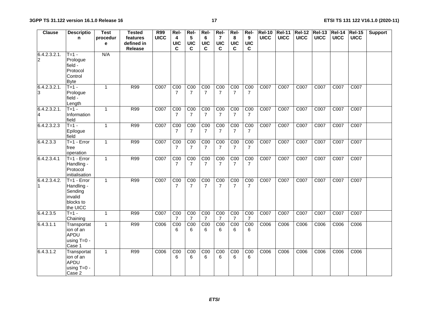| Clause                         | <b>Descriptio</b>                                                          | <b>Test</b>   | <b>Tested</b>                     | R99         | Rel-                               | Rel-                              | Rel-                              | Rel-                              | Rel-                              | Rel-                              | <b>Rel-10</b> | <b>Rel-11</b> | <b>Rel-12 Rel-13</b> |             | $REI-14$    | <b>Rel-15</b>    | <b>Support</b> |
|--------------------------------|----------------------------------------------------------------------------|---------------|-----------------------------------|-------------|------------------------------------|-----------------------------------|-----------------------------------|-----------------------------------|-----------------------------------|-----------------------------------|---------------|---------------|----------------------|-------------|-------------|------------------|----------------|
|                                | n                                                                          | procedur<br>e | features<br>defined in<br>Release | <b>UICC</b> | 4<br><b>UIC</b><br>C               | $\sqrt{5}$<br><b>UIC</b><br>C     | 6<br><b>UIC</b><br>C              | $\overline{7}$<br><b>UIC</b><br>C | 8<br><b>UIC</b><br>C              | 9<br><b>UIC</b><br>C              | <b>UICC</b>   | <b>UICC</b>   | <b>UICC</b>          | <b>UICC</b> | <b>UICC</b> | <b>UICC</b>      |                |
| 6.4.2.3.2.1.<br>$\overline{c}$ | $T=1 -$<br>Prologue<br>field -<br>Protocol<br>Control<br><b>Byte</b>       | N/A           |                                   |             |                                    |                                   |                                   |                                   |                                   |                                   |               |               |                      |             |             |                  |                |
| 6.4.2.3.2.1.<br>3              | $T=1$ -<br>Prologue<br>field -<br>Length                                   | $\mathbf{1}$  | R99                               | C007        | COO<br>7                           | C <sub>00</sub><br>7              | C <sub>00</sub><br>7              | C <sub>00</sub><br>$\overline{7}$ | C <sub>00</sub><br>7              | COO<br>7                          | C007          | C007          | C007                 | C007        | C007        | C007             |                |
| 6.4.2.3.2.1.<br>14             | $T=1 -$<br>Information<br>field                                            | $\mathbf{1}$  | R99                               | C007        | C <sub>00</sub><br>$\overline{7}$  | COO<br>$\overline{7}$             | C <sub>00</sub><br>$\overline{7}$ | C <sub>00</sub><br>$\overline{7}$ | C <sub>00</sub><br>$\overline{7}$ | C <sub>00</sub><br>$\overline{7}$ | C007          | C007          | C007                 | C007        | C007        | C007             |                |
| 6.4.2.3.2.3                    | $T=1 -$<br>Epilogue<br>field                                               | $\mathbf{1}$  | R99                               | C007        | $\overline{COO}$<br>$\overline{7}$ | C <sub>00</sub><br>$\overline{7}$ | C <sub>00</sub><br>$\overline{7}$ | C <sub>00</sub><br>$\overline{7}$ | C <sub>00</sub><br>$\overline{7}$ | C <sub>00</sub><br>$\overline{7}$ | C007          | C007          | C007                 | C007        | C007        | C <sub>007</sub> |                |
| 6.4.2.3.3                      | $T=1 - Error$<br>free<br>operation                                         | $\mathbf{1}$  | <b>R99</b>                        | C007        | C <sub>00</sub><br>$\overline{7}$  | C <sub>00</sub><br>$\overline{7}$ | C <sub>00</sub><br>$\overline{7}$ | C <sub>00</sub><br>$\overline{7}$ | C <sub>00</sub><br>$\overline{7}$ | C <sub>00</sub><br>$\overline{7}$ | C007          | C007          | C007                 | C007        | C007        | C007             |                |
| 6.4.2.3.4.1                    | $T=1 - Error$<br>Handling -<br>Protocol<br>initialisation                  | $\mathbf{1}$  | R99                               | C007        | COO<br>7                           | C <sub>00</sub><br>7              | C <sub>00</sub><br>7              | C <sub>00</sub><br>$\overline{7}$ | COO<br>$\overline{7}$             | COO<br>$\overline{7}$             | C007          | C007          | C007                 | C007        | C007        | C007             |                |
| 6.4.2.3.4.2.<br>11             | $T=1 - Error$<br>Handling -<br>Sending<br>invalid<br>blocks to<br>the UICC | $\mathbf{1}$  | R99                               | C007        | COO<br>$\overline{7}$              | C <sub>00</sub><br>7              | C <sub>00</sub><br>7              | C <sub>00</sub><br>$\overline{7}$ | COO<br>$\overline{7}$             | COO<br>$\overline{7}$             | C007          | C007          | $\overline{C}007$    | C007        | C007        | C007             |                |
| 6.4.2.3.5                      | $T = 1 -$<br>Chaining                                                      | $\mathbf{1}$  | R99                               | C007        | COO<br>7                           | COO<br>$\overline{7}$             | COO<br>7                          | C <sub>00</sub><br>7              | C <sub>00</sub><br>7              | COO<br>7                          | C007          | C007          | C007                 | C007        | C007        | C007             |                |
| 6.4.3.1.1                      | Transportat<br>ion of an<br>APDU<br>using $T=0$ -<br>Case 1                | $\mathbf{1}$  | R99                               | C006        | $\overline{COO}$<br>6              | C <sub>00</sub><br>6              | $\overline{COO}$<br>6             | C <sub>00</sub><br>6              | COO<br>6                          | C <sub>00</sub><br>6              | C006          | C006          | C006                 | C006        | C006        | C006             |                |
| 6.4.3.1.2                      | Transportat<br>ion of an<br>APDU<br>using T=0 -<br>Case 2                  | $\mathbf{1}$  | R99                               | C006        | C <sub>00</sub><br>6               | C <sub>00</sub><br>6              | C <sub>00</sub><br>6              | C <sub>00</sub><br>6              | COO<br>6                          | COO<br>6                          | C006          | C006          | C006                 | C006        | C006        | C006             |                |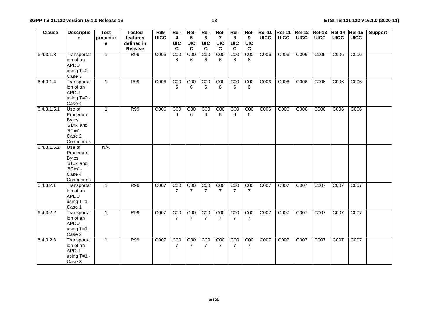| <b>Clause</b> | <b>Descriptio</b><br>n                                                              | <b>Test</b><br>procedur | <b>Tested</b><br>features | <b>R99</b><br><b>UICC</b> | Rel-<br>4                         | Rel-<br>$5\phantom{.0}$            | Rel-<br>6            | Rel-<br>$\overline{7}$ | Rel-<br>8                          | Rel-<br>9                         | <b>Rel-10</b><br><b>UICC</b> | $\overline{ReI-11}$<br><b>UICC</b> | <b>Rel-12</b><br><b>UICC</b> | <b>Rel-13 Rel-14</b><br><b>UICC</b> | <b>UICC</b> | $ReI-15$<br><b>UICC</b> | <b>Support</b> |
|---------------|-------------------------------------------------------------------------------------|-------------------------|---------------------------|---------------------------|-----------------------------------|------------------------------------|----------------------|------------------------|------------------------------------|-----------------------------------|------------------------------|------------------------------------|------------------------------|-------------------------------------|-------------|-------------------------|----------------|
|               |                                                                                     | e                       | defined in                |                           | <b>UIC</b>                        | <b>UIC</b>                         | <b>UIC</b>           | <b>UIC</b>             | <b>UIC</b>                         | <b>UIC</b>                        |                              |                                    |                              |                                     |             |                         |                |
|               |                                                                                     |                         | Release                   |                           | C                                 | $\mathbf c$                        | $\mathbf c$          | $\mathbf c$            | $\mathbf c$                        | C                                 |                              |                                    |                              |                                     |             |                         |                |
| 6.4.3.1.3     | Transportat<br>ion of an<br><b>APDU</b><br>using $T=0$ -<br>Case 3                  | $\mathbf{1}$            | R99                       | C006                      | COO<br>6                          | C <sub>00</sub><br>6               | COO<br>6             | COO<br>6               | COO<br>6                           | C <sub>00</sub><br>6              | C006                         | C006                               | C006                         | C006                                | C006        | C006                    |                |
| 6.4.3.1.4     | Transportat<br>ion of an<br>APDU<br>using $T=0 -$<br>Case 4                         | $\mathbf{1}$            | R99                       | C006                      | C <sub>00</sub><br>6              | C <sub>00</sub><br>6               | C <sub>00</sub><br>6 | COO<br>6               | C <sub>00</sub><br>6               | COO<br>6                          | C006                         | C006                               | C006                         | C006                                | C006        | C006                    |                |
| 6.4.3.1.5.1   | Use of<br>Procedure<br><b>Bytes</b><br>'61xx' and<br>'6Cxx' -<br>Case 2<br>Commands | $\mathbf{1}$            | R99                       | C006                      | C <sub>00</sub><br>6              | C <sub>00</sub><br>6               | C <sub>00</sub><br>6 | C <sub>00</sub><br>6   | C <sub>00</sub><br>6               | C <sub>00</sub><br>6              | C006                         | C006                               | C006                         | C006                                | C006        | C006                    |                |
| 6.4.3.1.5.2   | Use of<br>Procedure<br><b>Bytes</b><br>'61xx' and<br>'6Cxx' -<br>Case 4<br>Commands | N/A                     |                           |                           |                                   |                                    |                      |                        |                                    |                                   |                              |                                    |                              |                                     |             |                         |                |
| 6.4.3.2.1     | Transportat<br>ion of an<br>APDU<br>using $T=1 -$<br>Case 1                         | $\mathbf{1}$            | R99                       | C007                      | C <sub>00</sub><br>$\overline{7}$ | $\overline{COO}$<br>$\overline{7}$ | C <sub>00</sub><br>7 | $\overline{COO}$<br>7  | $\overline{COO}$<br>$\overline{7}$ | COO<br>$\overline{7}$             | C007                         | C007                               | C007                         | C007                                | C007        | C007                    |                |
| 6.4.3.2.2     | Transportat<br>ion of an<br>APDU<br>using $T=1$ -<br>Case 2                         | $\mathbf{1}$            | R99                       | C007                      | COO<br>7                          | C <sub>00</sub><br>7               | C <sub>00</sub><br>7 | C <sub>00</sub><br>7   | COO<br>7                           | C <sub>00</sub><br>7              | C007                         | C007                               | C007                         | C007                                | C007        | C007                    |                |
| 6.4.3.2.3     | Transportat<br>ion of an<br>APDU<br>using $T=1$ -<br>Case 3                         | $\mathbf{1}$            | R99                       | C007                      | C <sub>00</sub><br>$\overline{7}$ | C <sub>00</sub><br>$\overline{7}$  | C <sub>00</sub><br>7 | COO<br>$\overline{7}$  | C <sub>00</sub><br>$\overline{7}$  | C <sub>00</sub><br>$\overline{7}$ | C007                         | C007                               | C007                         | C007                                | C007        | C007                    |                |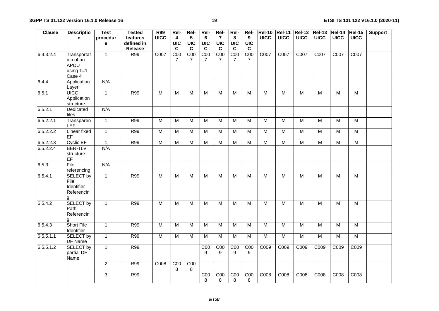| <b>Clause</b> | <b>Descriptio</b>                                    | <b>Test</b>    | <b>Tested</b> | <b>R99</b>     | Rel-                    | Rel-                              | Rel-                  | Rel-                  | Rel-                  | Rel-                              | <b>Rel-10</b>    | <b>Rel-11</b>  | Rel-12 Rel-13           |                | $ReI-14$       | $ReI-15$                | <b>Support</b> |
|---------------|------------------------------------------------------|----------------|---------------|----------------|-------------------------|-----------------------------------|-----------------------|-----------------------|-----------------------|-----------------------------------|------------------|----------------|-------------------------|----------------|----------------|-------------------------|----------------|
|               | n                                                    | procedur       | features      | <b>UICC</b>    | $\overline{\mathbf{4}}$ | $5\phantom{.0}$                   | 6                     | $\overline{7}$        | 8                     | 9                                 | <b>UICC</b>      | <b>UICC</b>    | <b>UICC</b>             | <b>UICC</b>    | <b>UICC</b>    | <b>UICC</b>             |                |
|               |                                                      | e              | defined in    |                | <b>UIC</b>              | <b>UIC</b>                        | <b>UIC</b>            | <b>UIC</b>            | <b>UIC</b>            | <b>UIC</b>                        |                  |                |                         |                |                |                         |                |
|               |                                                      |                | Release       |                | $\mathbf c$             | $\mathbf C$                       | $\mathbf{c}$          | $\mathbf c$           | $\mathbf c$           | $\mathbf c$                       |                  |                |                         |                |                |                         |                |
| 6.4.3.2.4     | Transportat<br>ion of an<br>APDU                     | $\overline{1}$ | R99           | C007           | COO<br>$\overline{7}$   | C <sub>00</sub><br>$\overline{7}$ | C <sub>00</sub><br>7  | COO<br>$\overline{7}$ | COO<br>$\overline{7}$ | C <sub>00</sub><br>$\overline{7}$ | C007             | C007           | C007                    | C007           | C007           | COO7                    |                |
|               | using $T=1 -$<br>Case 4                              |                |               |                |                         |                                   |                       |                       |                       |                                   |                  |                |                         |                |                |                         |                |
| 6.4.4         | Application<br>Layer                                 | N/A            |               |                |                         |                                   |                       |                       |                       |                                   |                  |                |                         |                |                |                         |                |
| 6.5.1         | <b>UICC</b><br>Application<br>structure              | $\overline{1}$ | <b>R99</b>    | $\overline{M}$ | $\overline{M}$          | $\overline{M}$                    | $\overline{M}$        | $\overline{M}$        | M                     | M                                 | $\overline{M}$   | $\overline{M}$ | $\overline{M}$          | $\overline{M}$ | $\overline{M}$ | $\overline{M}$          |                |
| 6.5.2.1       | Dedicated<br>files                                   | N/A            |               |                |                         |                                   |                       |                       |                       |                                   |                  |                |                         |                |                |                         |                |
| 6.5.2.2.1     | Transparen<br>t EF                                   | $\overline{1}$ | <b>R99</b>    | $\overline{M}$ | M                       | $\overline{\mathsf{M}}$           | $\overline{M}$        | $\overline{M}$        | $\overline{M}$        | $\overline{M}$                    | $\overline{M}$   | $\overline{M}$ | $\overline{M}$          | $\overline{M}$ | M              | $\overline{\mathsf{M}}$ |                |
| 6.5.2.2.2     | Linear fixed<br><b>EF</b>                            | $\mathbf{1}$   | <b>R99</b>    | M              | M                       | M                                 | M                     | M                     | M                     | M                                 | $\overline{M}$   | M              | M                       | M              | M              | $\overline{M}$          |                |
| 6.5.2.2.3     | Cyclic EF                                            | $\mathbf{1}$   | R99           | $\overline{M}$ | M                       | $\overline{M}$                    | $\overline{M}$        | $\overline{M}$        | $\overline{M}$        | M                                 | M                | $\overline{M}$ | M                       | $\overline{M}$ | M              | $\overline{M}$          |                |
| 6.5.2.2.4     | <b>BER-TLV</b><br>structure<br>EF                    | N/A            |               |                |                         |                                   |                       |                       |                       |                                   |                  |                |                         |                |                |                         |                |
| 6.5.3         | File<br>referencing                                  | N/A            |               |                |                         |                                   |                       |                       |                       |                                   |                  |                |                         |                |                |                         |                |
| 6.5.4.1       | <b>SELECT by</b><br>File<br>Identifier<br>Referencin | $\mathbf{1}$   | R99           | $\overline{M}$ | M                       | M                                 | M                     | M                     | M                     | M                                 | $\overline{M}$   | $\overline{M}$ | M                       | M              | M              | $\overline{M}$          |                |
| 6.5.4.2       | <b>SELECT by</b><br>Path<br>Referencin               | $\mathbf{1}$   | R99           | $\overline{M}$ | ${\sf M}$               | $\overline{M}$                    | $\overline{M}$        | M                     | M                     | M                                 | $\overline{M}$   | $\overline{M}$ | $\overline{M}$          | $\overline{M}$ | $\overline{M}$ | $\overline{M}$          |                |
| 6.5.4.3       | <b>Short File</b><br>Identifier                      | $\mathbf{1}$   | <b>R99</b>    | $\overline{M}$ | $\overline{M}$          | $\overline{\mathsf{M}}$           | $\overline{M}$        | $\overline{M}$        | $\overline{M}$        | $\overline{M}$                    | $\overline{M}$   | $\overline{M}$ | $\overline{\mathsf{M}}$ | $\overline{M}$ | $\overline{M}$ | M                       |                |
| 6.5.5.1.1     | <b>SELECT by</b><br>DF Name                          | $\mathbf{1}$   | R99           | $\overline{M}$ | M                       | $\overline{M}$                    | $\overline{M}$        | M                     | M                     | M                                 | $\overline{M}$   | $\overline{M}$ | M                       | $\overline{M}$ | M              | $\overline{M}$          |                |
| 6.5.5.1.2     | <b>SELECT by</b><br>partial DF<br>Name               | $\mathbf{1}$   | R99           |                |                         |                                   | $\overline{COO}$<br>9 | COO<br>9              | C <sub>00</sub><br>9  | C <sub>00</sub><br>9              | C009             | C009           | C009                    | C009           | C009           | C009                    |                |
|               |                                                      | $\overline{c}$ | R99           | C008           | COO<br>8                | COO<br>8                          |                       |                       |                       |                                   |                  |                |                         |                |                |                         |                |
|               |                                                      | 3              | R99           |                |                         |                                   | C <sub>00</sub><br>8  | COO<br>8              | COO<br>8              | COO<br>8                          | C <sub>008</sub> | C008           | C008                    | C008           | C008           | C008                    |                |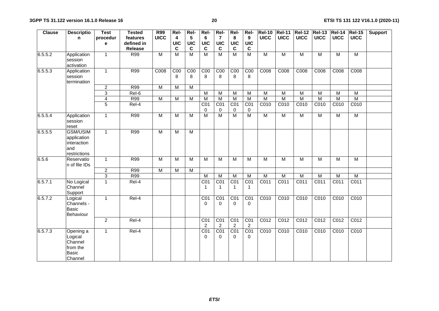| <b>Clause</b> | <b>Descriptio</b>                                                    | <b>Test</b>             | <b>Tested</b>  | R99            | Rel-                    | Rel-                 | Rel-                               | Rel-                             | Rel-                              | Rel-                              | <b>Rel-10</b>           |                  |                   | Rel-11   Rel-12   Rel-13   Rel-14 |                  | $ReI-15$          | <b>Support</b> |
|---------------|----------------------------------------------------------------------|-------------------------|----------------|----------------|-------------------------|----------------------|------------------------------------|----------------------------------|-----------------------------------|-----------------------------------|-------------------------|------------------|-------------------|-----------------------------------|------------------|-------------------|----------------|
|               | n                                                                    | procedur                | features       | <b>UICC</b>    | $\overline{\mathbf{4}}$ | 5                    | 6                                  | $\overline{7}$                   | 8                                 | 9                                 | <b>UICC</b>             | <b>UICC</b>      | <b>UICC</b>       | <b>UICC</b>                       | <b>UICC</b>      | <b>UICC</b>       |                |
|               |                                                                      | е                       | defined in     |                | UIC                     | <b>UIC</b>           | UIC                                | <b>UIC</b>                       | <b>UIC</b>                        | <b>UIC</b>                        |                         |                  |                   |                                   |                  |                   |                |
|               |                                                                      |                         | <b>Release</b> |                | C                       | $\mathbf c$          | C                                  | C                                | C                                 | C                                 |                         |                  |                   |                                   |                  |                   |                |
| 6.5.5.2       | Application<br>session<br>activation                                 | $\mathbf{1}$            | R99            | $\overline{M}$ | $\overline{M}$          | $\overline{M}$       | $\overline{M}$                     | $\overline{M}$                   | $\overline{M}$                    | M                                 | $\overline{M}$          | M                | M                 | M                                 | M                | $\overline{M}$    |                |
| 6.5.5.3       | Application<br>session<br>termination                                | $\mathbf{1}$            | R99            | C008           | COO<br>8                | C <sub>00</sub><br>8 | COO<br>8                           | COO<br>8                         | C <sub>00</sub><br>8              | C <sub>00</sub><br>8              | C <sub>008</sub>        | C <sub>008</sub> | C008              | C <sub>008</sub>                  | C008             | C <sub>008</sub>  |                |
|               |                                                                      | $\overline{c}$          | R99            | $\overline{M}$ | M                       | $\overline{M}$       |                                    |                                  |                                   |                                   |                         |                  |                   |                                   |                  |                   |                |
|               |                                                                      | $\overline{3}$          | Rel-6          |                |                         |                      | $\overline{M}$                     | $\overline{M}$                   | M                                 | M                                 | $\overline{M}$          | $\overline{M}$   | $\overline{M}$    | $\overline{M}$                    | $\overline{M}$   | $\overline{M}$    |                |
|               |                                                                      | $\overline{\mathbf{4}}$ | <b>R99</b>     | M              | M                       | M                    | M                                  | M                                | $\overline{M}$                    | M                                 | $\overline{M}$          | $\overline{M}$   | $\overline{M}$    | $\overline{M}$                    | M                | $\overline{M}$    |                |
|               |                                                                      | $\overline{5}$          | Rel-4          |                |                         |                      | CO <sub>1</sub>                    | CO <sub>1</sub>                  | CO <sub>1</sub>                   | CO <sub>1</sub>                   | C010                    | C010             | C010              | C010                              | C010             | C010              |                |
|               |                                                                      |                         |                |                |                         |                      | $\mathbf 0$                        | 0                                | $\mathbf 0$                       | 0                                 |                         |                  |                   |                                   |                  |                   |                |
| 6.5.5.4       | Application<br>session<br>reset                                      | $\mathbf{1}$            | R99            | M              | M                       | M                    | M                                  | M                                | $\overline{M}$                    | M                                 | M                       | M                | $\overline{M}$    | M                                 | M                | M                 |                |
| 6.5.5.5       | <b>GSM/USIM</b><br>application<br>interaction<br>and<br>restrictions | $\mathbf{1}$            | R99            | $\overline{M}$ | $\overline{M}$          | $\overline{M}$       |                                    |                                  |                                   |                                   |                         |                  |                   |                                   |                  |                   |                |
| 6.5.6         | Reservatio<br>n of file IDs                                          | $\mathbf{1}$            | R99            | $\overline{M}$ | M                       | $\overline{M}$       | $\overline{M}$                     | $\overline{M}$                   | $\overline{M}$                    | M                                 | $\overline{M}$          | $\overline{M}$   | $\overline{M}$    | $\overline{M}$                    | $\overline{M}$   | $\overline{M}$    |                |
|               |                                                                      | $\overline{2}$          | <b>R99</b>     | $\overline{M}$ | $\overline{M}$          | $\overline{M}$       |                                    |                                  |                                   |                                   |                         |                  |                   |                                   |                  |                   |                |
|               |                                                                      | $\overline{3}$          | R99            |                |                         |                      | $\overline{M}$                     | $\overline{M}$                   | $\overline{M}$                    | $\overline{M}$                    | $\overline{\mathsf{M}}$ | $\overline{M}$   | $\overline{M}$    | $\overline{M}$                    | $\overline{M}$   | $\overline{M}$    |                |
| 6.5.7.1       | No Logical<br>Channel<br>Support                                     | $\mathbf{1}$            | Rel-4          |                |                         |                      | $\overline{CO1}$<br>$\mathbf 1$    | CO <sub>1</sub><br>$\mathbf 1$   | CO <sub>1</sub><br>$\mathbf{1}$   | CO <sub>1</sub><br>$\overline{1}$ | C <sub>011</sub>        | C011             | C <sub>011</sub>  | C <sub>011</sub>                  | C <sub>011</sub> | C011              |                |
| 6.5.7.2       | Logical<br>Channels -<br>Basic<br>Behaviour                          | $\mathbf{1}$            | Rel-4          |                |                         |                      | $\overline{CO1}$<br>$\Omega$       | CO <sub>1</sub><br>$\mathbf{0}$  | CO <sub>1</sub><br>$\mathbf{0}$   | CO <sub>1</sub><br>$\Omega$       | C010                    | C010             | C010              | C010                              | C <sub>010</sub> | C <sub>010</sub>  |                |
|               |                                                                      | $\overline{2}$          | $Rel-4$        |                |                         |                      | $\overline{CO1}$<br>$\overline{c}$ | CO1<br>$\overline{2}$            | CO <sub>1</sub><br>$\overline{2}$ | CO <sub>1</sub><br>$\overline{2}$ | C <sub>012</sub>        | C <sub>012</sub> | $\overline{C012}$ | $\overline{C012}$                 | C <sub>012</sub> | C <sub>012</sub>  |                |
| 6.5.7.3       | Opening a<br>Logical<br>Channel<br>from the<br>Basic<br>Channel      | $\mathbf{1}$            | Rel-4          |                |                         |                      | CO <sub>1</sub><br>$\Omega$        | $\overline{CO1}$<br>$\mathbf{0}$ | $\overline{CO1}$<br>$\Omega$      | $\overline{CO1}$<br>$\Omega$      | C010                    | C010             | C010              | C010                              | C010             | $\overline{C010}$ |                |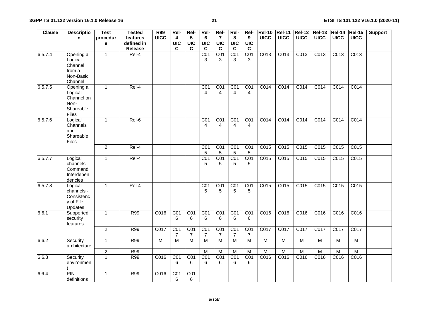| <b>Clause</b> | <b>Descriptio</b>                                                  | <b>Test</b>    | <b>Tested</b>  | <b>R99</b>     | Rel-                  | Rel-                  | Rel-                              | Rel-                              | Rel-                              | Rel-                             | <b>Rel-10</b>    | <b>Rel-11</b>    | $ReI-12$         | $REI-13$         | $ReI-14$         | <b>Rel-15</b>    | <b>Support</b> |
|---------------|--------------------------------------------------------------------|----------------|----------------|----------------|-----------------------|-----------------------|-----------------------------------|-----------------------------------|-----------------------------------|----------------------------------|------------------|------------------|------------------|------------------|------------------|------------------|----------------|
|               | n                                                                  | procedur       | features       | <b>UICC</b>    | 4                     | 5                     | 6                                 | $\overline{7}$                    | 8                                 | 9                                | <b>UICC</b>      | <b>UICC</b>      | <b>UICC</b>      | <b>UICC</b>      | <b>UICC</b>      | <b>UICC</b>      |                |
|               |                                                                    | e              | defined in     |                | <b>UIC</b>            | <b>UIC</b>            | <b>UIC</b>                        | <b>UIC</b>                        | <b>UIC</b>                        | <b>UIC</b>                       |                  |                  |                  |                  |                  |                  |                |
|               |                                                                    |                | <b>Release</b> |                | C                     | $\mathbf c$           | $\mathbf c$                       | $\mathbf c$                       | $\mathbf c$                       | $\mathbf c$                      |                  |                  |                  |                  |                  |                  |                |
| 6.5.7.4       | Opening a<br>Logical<br>Channel<br>from a<br>Non-Basic<br>Channel  | $\mathbf{1}$   | Rel-4          |                |                       |                       | $\overline{C}01$<br>3             | $\overline{C}$ <sup>1</sup><br>3  | C <sub>01</sub><br>3              | CO <sub>1</sub><br>3             | C <sub>013</sub> | C <sub>013</sub> | C013             | C <sub>013</sub> | C <sub>013</sub> | C <sub>013</sub> |                |
| 6.5.7.5       | Opening a<br>Logical<br>Channel on<br>Non-<br>Shareable<br>Files   | $\mathbf{1}$   | $Rel-4$        |                |                       |                       | CO <sub>1</sub><br>$\overline{4}$ | CO <sub>1</sub><br>$\overline{4}$ | CO <sub>1</sub><br>4              | CO <sub>1</sub><br>4             | C <sub>014</sub> | C <sub>014</sub> | C <sub>014</sub> | C <sub>014</sub> | C <sub>014</sub> | C <sub>014</sub> |                |
| 6.5.7.6       | Logical<br>Channels<br>and<br>Shareable<br>Files                   | $\mathbf{1}$   | Rel-6          |                |                       |                       | CO <sub>1</sub><br>$\overline{4}$ | CO1<br>$\overline{4}$             | CO <sub>1</sub><br>$\overline{4}$ | $\overline{C}$ <sup>1</sup><br>4 | C014             | C014             | C014             | C014             | C014             | C <sub>014</sub> |                |
|               |                                                                    | $\overline{2}$ | Rel-4          |                |                       |                       | $\overline{C01}$<br>5             | CO <sub>1</sub><br>$\sqrt{5}$     | CO <sub>1</sub><br>$\sqrt{5}$     | CO <sub>1</sub><br>$\sqrt{5}$    | C <sub>015</sub> | C <sub>015</sub> | C015             | C015             | C015             | C015             |                |
| 6.5.7.7       | Logical<br>channels -<br>Command<br>Interdepen<br>dencies          | $\mathbf{1}$   | Rel-4          |                |                       |                       | $\overline{C}01$<br>5             | CO <sub>1</sub><br>5              | C <sub>01</sub><br>5              | C <sub>01</sub><br>5             | C <sub>015</sub> | C015             | C015             | C015             | C015             | C015             |                |
| 6.5.7.8       | Logical<br>channels -<br>Consistenc<br>y of File<br><b>Updates</b> | $\mathbf{1}$   | Rel-4          |                |                       |                       | CO <sub>1</sub><br>5              | CO <sub>1</sub><br>5              | CO1<br>5                          | CO <sub>1</sub><br>5             | C015             | C015             | C015             | C015             | C015             | C <sub>015</sub> |                |
| 6.6.1         | Supported<br>security<br>features                                  | $\overline{1}$ | <b>R99</b>     | C016           | CO1<br>6              | $\overline{CO1}$<br>6 | $\overline{C}$ <sup>1</sup><br>6  | CO <sub>1</sub><br>6              | $\overline{CO1}$<br>6             | $\overline{CO1}$<br>6            | C016             | C016             | C016             | C016             | C016             | C016             |                |
|               |                                                                    | $\overline{2}$ | R99            | C017           | CO <sub>1</sub><br>7  | $\overline{CO1}$<br>7 | CO <sub>1</sub><br>7              | CO1<br>$\overline{7}$             | CO1<br>$\overline{7}$             | CO1<br>$\overline{7}$            | C017             | C017             | C017             | C017             | C017             | C017             |                |
| 6.6.2         | Security<br>architecture                                           | $\mathbf{1}$   | <b>R99</b>     | $\overline{M}$ | $\overline{M}$        | $\overline{M}$        | $\overline{M}$                    | $\overline{M}$                    | $\overline{M}$                    | $\overline{M}$                   | $\overline{M}$   | $\overline{M}$   | $\overline{M}$   | M                | $\overline{M}$   | $\overline{M}$   |                |
|               |                                                                    | $\overline{c}$ | R99            |                |                       |                       | $\overline{M}$                    | M                                 | M                                 | M                                | $\overline{M}$   | M                | $\overline{M}$   | $\overline{M}$   | $\overline{M}$   | $\overline{M}$   |                |
| 6.6.3         | Security<br>environmen                                             | $\mathbf{1}$   | R99            | C016           | $\overline{CO1}$<br>6 | $\overline{CO1}$<br>6 | $\overline{CO1}$<br>6             | $\overline{CO1}$<br>6             | $\overline{CO1}$<br>6             | $\overline{CO1}$<br>6            | C016             | C016             | C016             | C016             | C016             | C016             |                |
| 6.6.4         | <b>PIN</b><br>definitions                                          | $\mathbf{1}$   | <b>R99</b>     | C016           | CO1<br>6              | CO <sub>1</sub><br>6  |                                   |                                   |                                   |                                  |                  |                  |                  |                  |                  |                  |                |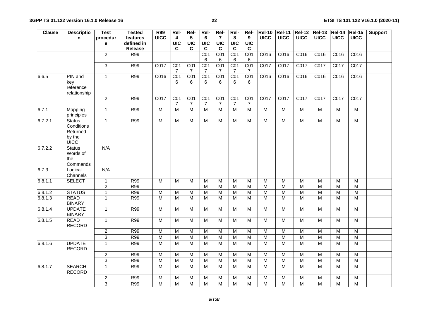| <b>Clause</b> | <b>Descriptio</b>                                         | <b>Test</b>               | <b>Tested</b> | R99                     | Rel-                  | Rel-                  | Rel-                 | Rel-                  | Rel-                 | Rel-                 | <b>Rel-10</b>           |                | Rel-11 Rel-12 Rel-13    |                         | $ReI-14$       | $ReI-15$         | <b>Support</b> |
|---------------|-----------------------------------------------------------|---------------------------|---------------|-------------------------|-----------------------|-----------------------|----------------------|-----------------------|----------------------|----------------------|-------------------------|----------------|-------------------------|-------------------------|----------------|------------------|----------------|
|               | n                                                         | procedur                  | features      | <b>UICC</b>             | 4                     | $5\phantom{.0}$       | 6                    | 7                     | 8                    | 9                    | <b>UICC</b>             | <b>UICC</b>    | <b>UICC</b>             | <b>UICC</b>             | <b>UICC</b>    | <b>UICC</b>      |                |
|               |                                                           | $\mathbf e$               | defined in    |                         | <b>UIC</b>            | <b>UIC</b>            | <b>UIC</b>           | <b>UIC</b>            | <b>UIC</b>           | <b>UIC</b>           |                         |                |                         |                         |                |                  |                |
|               |                                                           |                           | Release       |                         | C                     | C                     | $\mathbf c$          | $\mathbf c$           | C                    | $\mathbf c$          |                         |                |                         |                         |                |                  |                |
|               |                                                           | $\overline{2}$            | R99           |                         |                       |                       | CO1                  | CO1                   | CO1                  | C <sub>01</sub>      | C016                    | C016           | C016                    | C016                    | C016           | C016             |                |
|               |                                                           |                           |               |                         |                       |                       | 6                    | 6                     | 6                    | 6                    |                         |                |                         |                         |                |                  |                |
|               |                                                           | $\overline{3}$            | R99           | C017                    | CO1<br>7              | CO1<br>7              | CO <sub>1</sub><br>7 | CO <sub>1</sub><br>7  | C <sub>01</sub><br>7 | C <sub>01</sub><br>7 | C017                    | C017           | C017                    | C017                    | C017           | C017             |                |
| 6.6.5         | PIN and                                                   | $\mathbf{1}$              | R99           | C <sub>016</sub>        | CO1                   | CO <sub>1</sub>       | CO <sub>1</sub>      | CO <sub>1</sub>       | CO <sub>1</sub>      | C <sub>01</sub>      | C016                    | C016           | C016                    | C016                    | C016           | C016             |                |
|               | key<br>reference<br>relationship                          |                           |               |                         | 6                     | 6                     | 6                    | 6                     | 6                    | 6                    |                         |                |                         |                         |                |                  |                |
|               |                                                           | $\overline{2}$            | <b>R99</b>    | C017                    | $\overline{CO1}$<br>7 | CO1<br>$\overline{7}$ | CO1<br>7             | CO1<br>$\overline{7}$ | CO <sub>1</sub><br>7 | CO1<br>7             | C017                    | C017           | C017                    | C017                    | C017           | C <sub>017</sub> |                |
| 6.7.1         | Mapping<br>principles                                     | $\mathbf{1}$              | R99           | $\overline{M}$          | $\overline{M}$        | $\overline{M}$        | $\overline{M}$       | $\overline{M}$        | M                    | $\overline{M}$       | $\overline{M}$          | $\overline{M}$ | M                       | М                       | M              | M                |                |
| 6.7.2.1       | <b>Status</b><br>Conditions<br>Returned<br>by the<br>UICC | $\mathbf{1}$              | <b>R99</b>    | M                       | M                     | M                     | ${\sf M}$            | M                     | ${\sf M}$            | M                    | $\overline{M}$          | M              | M                       | ${\sf M}$               | ${\sf M}$      | M                |                |
| 6.7.2.2       | <b>Status</b><br>Words of<br>the<br>Commands              | N/A                       |               |                         |                       |                       |                      |                       |                      |                      |                         |                |                         |                         |                |                  |                |
| 6.7.3         | Logical<br>Channels                                       | N/A                       |               |                         |                       |                       |                      |                       |                      |                      |                         |                |                         |                         |                |                  |                |
| 6.8.1.1       | <b>SELECT</b>                                             | $\overline{1}$            | R99           | $\overline{M}$          | $\overline{M}$        | $\overline{M}$        | $\overline{M}$       | $\overline{M}$        | $\overline{M}$       | $\overline{M}$       | $\overline{M}$          | $\overline{M}$ | $\overline{M}$          | $\overline{M}$          | $\overline{M}$ | $\overline{M}$   |                |
|               |                                                           | $\overline{2}$            | <b>R99</b>    |                         |                       |                       | M                    | $\overline{M}$        | M                    | $\overline{M}$       | M                       | $\overline{M}$ | $\overline{M}$          | $\overline{\mathsf{M}}$ | $\overline{M}$ | M                |                |
| 6.8.1.2       | <b>STATUS</b>                                             | $\mathbf{1}$              | R99           | $\overline{M}$          | M                     | M                     | $\overline{M}$       | $\overline{M}$        | M                    | $\overline{M}$       | $\overline{M}$          | $\overline{M}$ | M                       | M                       | $\overline{M}$ | $\overline{M}$   |                |
| 6.8.1.3       | <b>READ</b><br><b>BINARY</b>                              | $\overline{1}$            | R99           | $\overline{M}$          | M                     | $\overline{M}$        | M                    | $\overline{M}$        | M                    | $\overline{M}$       | $\overline{M}$          | $\overline{M}$ | $\overline{M}$          | M                       | M              | $\overline{M}$   |                |
| 6.8.1.4       | <b>UPDATE</b><br><b>BINARY</b>                            | $\overline{1}$            | <b>R99</b>    | M                       | M                     | M                     | M                    | M                     | M                    | M                    | ${\sf M}$               | M              | M                       | M                       | M              | M                |                |
| 6.8.1.5       | <b>READ</b><br><b>RECORD</b>                              | $\mathbf{1}$              | R99           | $\overline{M}$          | M                     | $\overline{M}$        | M                    | $\overline{M}$        | M                    | $\overline{M}$       | $\overline{M}$          | $\overline{M}$ | $\overline{M}$          | $\overline{M}$          | M              | $\overline{M}$   |                |
|               |                                                           | $\overline{2}$            | R99           | $\overline{M}$          | M                     | $\overline{M}$        | $\overline{M}$       | $\overline{M}$        | M                    | $\overline{M}$       | $\overline{M}$          | $\overline{M}$ | $\overline{M}$          | $\overline{M}$          | $\overline{M}$ | $\overline{M}$   |                |
|               |                                                           | $\ensuremath{\mathsf{3}}$ | R99           | $\overline{M}$          | M                     | $\overline{M}$        | $\overline{M}$       | $\overline{M}$        | M                    | M                    | M                       | $\overline{M}$ | $\overline{M}$          | M                       | M              | $\overline{M}$   |                |
| 6.8.1.6       | <b>UPDATE</b><br><b>RECORD</b>                            | $\overline{1}$            | <b>R99</b>    | M                       | M                     | M                     | M                    | $\overline{M}$        | M                    | M                    | $\overline{\mathsf{M}}$ | $\overline{M}$ | $\overline{M}$          | M                       | M              | $\overline{M}$   |                |
|               |                                                           | $\overline{2}$            | R99           | $\overline{M}$          | M                     | M                     | M                    | $\overline{M}$        | M                    | M                    | $\overline{M}$          | M              | $\overline{\mathsf{M}}$ | M                       | M              | M                |                |
|               |                                                           | $\overline{3}$            | R99           | $\overline{M}$          | M                     | $\overline{M}$        | $\overline{M}$       | $\overline{M}$        | $\overline{M}$       | $\overline{M}$       | $\overline{M}$          | $\overline{M}$ | M                       | $\overline{M}$          | $\overline{M}$ | $\overline{M}$   |                |
| 6.8.1.7       | <b>SEARCH</b><br><b>RECORD</b>                            | $\overline{1}$            | R99           | $\overline{M}$          | M                     | $\overline{M}$        | $\overline{M}$       | $\overline{M}$        | M                    | $\overline{M}$       | $\overline{M}$          | M              | $\overline{\mathsf{M}}$ | $\overline{M}$          | M              | $\overline{M}$   |                |
|               |                                                           | $\sqrt{2}$                | R99           | $\overline{M}$          | $\overline{M}$        | $\overline{M}$        | M                    | $\overline{M}$        | $\overline{M}$       | $\overline{M}$       | $\overline{M}$          | $\overline{M}$ | $\overline{M}$          | $\overline{M}$          | $\overline{M}$ | $\overline{M}$   |                |
|               |                                                           | $\overline{3}$            | R99           | $\overline{\mathsf{M}}$ | M                     | $\overline{M}$        | M                    | $\overline{M}$        | M                    | M                    | $\overline{M}$          | M              | M                       | M                       | M              | M                |                |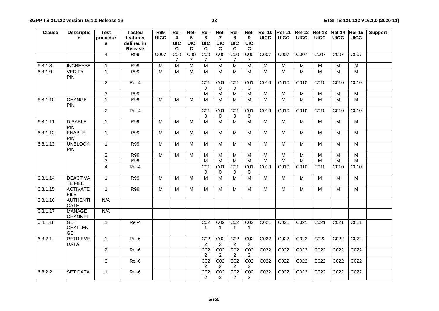| <b>Clause</b> | <b>Descriptio</b>                         | <b>Test</b>    | <b>Tested</b>  | R99            | Rel-             | Rel-            | Rel-                              | Rel-                              | Rel-                              | Rel-                              | <b>Rel-10</b>    | <b>Rel-11</b>           |                  | Rel-12 Rel-13 Rel-14 Rel-15 |                         |                  | <b>Support</b> |
|---------------|-------------------------------------------|----------------|----------------|----------------|------------------|-----------------|-----------------------------------|-----------------------------------|-----------------------------------|-----------------------------------|------------------|-------------------------|------------------|-----------------------------|-------------------------|------------------|----------------|
|               | n.                                        | procedur       | features       | <b>UICC</b>    | 4                | $5\phantom{.0}$ | 6                                 | 7                                 | 8                                 | 9                                 | <b>UICC</b>      | <b>UICC</b>             | <b>UICC</b>      | <b>UICC</b>                 | <b>UICC</b>             | <b>UICC</b>      |                |
|               |                                           | e              | defined in     |                | <b>UIC</b>       | <b>UIC</b>      | <b>UIC</b>                        | <b>UIC</b>                        | <b>UIC</b>                        | <b>UIC</b>                        |                  |                         |                  |                             |                         |                  |                |
|               |                                           |                | <b>Release</b> |                | $\mathbf c$      | $\mathbf c$     | $\mathbf c$                       | $\mathbf c$                       | $\mathbf c$                       | C                                 |                  |                         |                  |                             |                         |                  |                |
|               |                                           | 4              | R99            | C007           | $\overline{COO}$ | C <sub>00</sub> | $\overline{COO}$                  | $\overline{COO}$                  | C <sub>00</sub>                   | $\overline{COO}$                  | C007             | C007                    | C007             | C007                        | C007                    | C007             |                |
|               |                                           |                |                |                | 7                | 7               | 7                                 | 7                                 | 7                                 | 7                                 |                  |                         |                  |                             |                         |                  |                |
| 6.8.1.8       | <b>INCREASE</b>                           | $\mathbf{1}$   | <b>R99</b>     | $\overline{M}$ | M                | $\overline{M}$  | $\overline{M}$                    | $\overline{M}$                    | $\overline{M}$                    | $\overline{M}$                    | $\overline{M}$   | $\overline{\mathsf{M}}$ | $\overline{M}$   | $\overline{M}$              | $\overline{M}$          | M                |                |
| 6.8.1.9       | <b>VERIFY</b><br><b>PIN</b>               | $\mathbf{1}$   | R99            | $\overline{M}$ | $\overline{M}$   | $\overline{M}$  | $\overline{M}$                    | $\overline{M}$                    | $\overline{M}$                    | M                                 | M                | $\overline{M}$          | $\overline{M}$   | $\overline{M}$              | $\overline{M}$          | $\overline{M}$   |                |
|               |                                           | $\overline{2}$ | $Rel-4$        |                |                  |                 | CO <sub>1</sub><br>0              | CO <sub>1</sub><br>$\mathbf 0$    | $\overline{CO1}$<br>$\mathbf 0$   | CO <sub>1</sub><br>0              | C010             | C010                    | C010             | CO10                        | C010                    | CO10             |                |
|               |                                           | $\mathbf{3}$   | R99            |                |                  |                 | M                                 | $\overline{M}$                    | M                                 | $\overline{M}$                    | $\overline{M}$   | $\overline{M}$          | $\overline{M}$   | $\overline{\mathsf{M}}$     | $\overline{M}$          | $\overline{M}$   |                |
| 6.8.1.10      | <b>CHANGE</b><br><b>PIN</b>               | $\mathbf{1}$   | R99            | M              | M                | M               | M                                 | M                                 | M                                 | M                                 | $\overline{M}$   | $\overline{M}$          | M                | $\overline{M}$              | M                       | M                |                |
|               |                                           | $\overline{2}$ | Rel-4          |                |                  |                 | CO <sub>1</sub>                   | $\overline{CO1}$                  | $\overline{CO1}$                  | $\overline{C01}$                  | C010             | C010                    | C010             | C010                        | C010                    | C010             |                |
|               |                                           |                |                |                |                  |                 | $\mathbf 0$                       | $\mathbf 0$                       | $\mathbf 0$                       | $\mathbf 0$                       |                  |                         |                  |                             |                         |                  |                |
| 6.8.1.11      | <b>DISABLE</b><br><b>PIN</b>              | $\mathbf{1}$   | R99            | $\overline{M}$ | M                | $\overline{M}$  | $\overline{M}$                    | $\overline{M}$                    | $\overline{M}$                    | $\overline{M}$                    | M                | $\overline{M}$          | $\overline{M}$   | $\overline{M}$              | $\overline{M}$          | $\overline{M}$   |                |
| 6.8.1.12      | <b>ENABLE</b><br>PIN                      | $\overline{1}$ | R99            | M              | M                | M               | M                                 | M                                 | M                                 | M                                 | $\overline{M}$   | $\overline{M}$          | $\overline{M}$   | M                           | M                       | M                |                |
| 6.8.1.13      | <b>UNBLOCK</b><br><b>PIN</b>              | $\mathbf{1}$   | R99            | $\overline{M}$ | M                | $\overline{M}$  | M                                 | $\overline{M}$                    | М                                 | $\overline{M}$                    | $\overline{M}$   | $\overline{M}$          | $\overline{M}$   | $\overline{M}$              | M                       | $\overline{M}$   |                |
|               |                                           | $\overline{2}$ | <b>R99</b>     | M              | M                | M               | M                                 | M                                 | M                                 | M                                 | M                | ${\sf M}$               | M                | M                           | M                       | M                |                |
|               |                                           | $\mathbf{3}$   | R99            |                |                  |                 | $\overline{M}$                    | $\overline{M}$                    | M                                 | $\overline{M}$                    | $\overline{M}$   | $\overline{M}$          | $\overline{M}$   | $\overline{M}$              | $\overline{\mathsf{M}}$ | $\overline{M}$   |                |
|               |                                           | $\overline{4}$ | Rel-4          |                |                  |                 | CO <sub>1</sub><br>0              | $\overline{CO1}$<br>0             | CO <sub>1</sub><br>0              | CO1<br>0                          | C010             | C010                    | C010             | C010                        | C010                    | C010             |                |
| 6.8.1.14      | <b>DEACTIVA</b><br><b>TE FILE</b>         | $\overline{1}$ | R99            | $\overline{M}$ | M                | M               | $\overline{M}$                    | $\overline{M}$                    | $\overline{M}$                    | $\overline{M}$                    | $\overline{M}$   | $\overline{M}$          | $\overline{M}$   | M                           | M                       | $\overline{M}$   |                |
| 6.8.1.15      | <b>ACTIVATE</b><br><b>FILE</b>            | $\mathbf{1}$   | R99            | $\overline{M}$ | M                | $\overline{M}$  | M                                 | $\overline{M}$                    | M                                 | M                                 | $\overline{M}$   | $\overline{M}$          | $\overline{M}$   | M                           | M                       | $\overline{M}$   |                |
| 6.8.1.16      | <b>AUTHENTI</b><br><b>CATE</b>            | N/A            |                |                |                  |                 |                                   |                                   |                                   |                                   |                  |                         |                  |                             |                         |                  |                |
| 6.8.1.17      | <b>MANAGE</b><br><b>CHANNEL</b>           | N/A            |                |                |                  |                 |                                   |                                   |                                   |                                   |                  |                         |                  |                             |                         |                  |                |
| 6.8.1.18      | <b>GET</b><br><b>CHALLEN</b><br><b>GE</b> | $\overline{1}$ | Rel-4          |                |                  |                 | CO <sub>2</sub><br>$\overline{1}$ | CO <sub>2</sub><br>$\overline{1}$ | CO <sub>2</sub><br>$\overline{1}$ | CO <sub>2</sub><br>$\overline{1}$ | C <sub>021</sub> | C <sub>021</sub>        | C <sub>021</sub> | CO <sub>21</sub>            | C <sub>021</sub>        | C <sub>021</sub> |                |
| 6.8.2.1       | <b>RETRIEVE</b><br><b>DATA</b>            | $\mathbf{1}$   | Rel-6          |                |                  |                 | CO <sub>2</sub><br>$\overline{2}$ | CO <sub>2</sub><br>2              | CO <sub>2</sub><br>2              | CO <sub>2</sub><br>$\overline{2}$ | C022             | C022                    | C022             | C <sub>022</sub>            | C022                    | C022             |                |
|               |                                           | $\overline{2}$ | Rel-6          |                |                  |                 | CO <sub>2</sub><br>$\overline{2}$ | CO <sub>2</sub><br>2              | CO <sub>2</sub><br>$\overline{2}$ | CO <sub>2</sub><br>2              | C <sub>022</sub> | CO <sub>22</sub>        | C <sub>022</sub> | C <sub>022</sub>            | C <sub>022</sub>        | C022             |                |
|               |                                           | 3              | Rel-6          |                |                  |                 | CO <sub>2</sub><br>2              | CO <sub>2</sub><br>$\overline{2}$ | CO <sub>2</sub><br>2              | CO <sub>2</sub><br>2              | C022             | C022                    | C022             | C022                        | C022                    | C022             |                |
| 6.8.2.2       | <b>SET DATA</b>                           | $\mathbf{1}$   | Rel-6          |                |                  |                 | CO <sub>2</sub><br>$\overline{2}$ | CO <sub>2</sub><br>$\overline{2}$ | CO <sub>2</sub><br>2              | CO <sub>2</sub><br>2              | CO <sub>22</sub> | C <sub>022</sub>        | C022             | C022                        | C022                    | C <sub>022</sub> |                |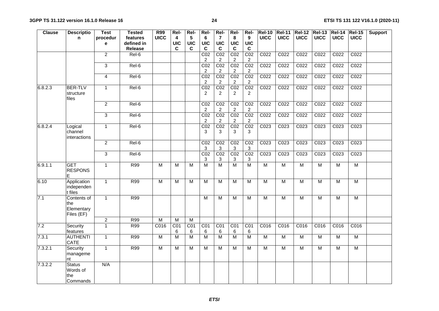| <b>Clause</b> | <b>Descriptio</b>                              | <b>Test</b>    | <b>Tested</b> | <b>R99</b>     | Rel-           | Rel-                    | Rel-                               | Rel-                              | Rel-                              | Rel-                              | <b>Rel-10</b>    |                  |                         | Rel-11 Rel-12 Rel-13 Rel-14 |                  | $ReI-15$         | <b>Support</b> |
|---------------|------------------------------------------------|----------------|---------------|----------------|----------------|-------------------------|------------------------------------|-----------------------------------|-----------------------------------|-----------------------------------|------------------|------------------|-------------------------|-----------------------------|------------------|------------------|----------------|
|               | n.                                             | procedur       | features      | <b>UICC</b>    | 4              | $5\phantom{.0}$         | 6                                  | $\overline{7}$                    | 8                                 | 9                                 | <b>UICC</b>      | <b>UICC</b>      | <b>UICC</b>             | <b>UICC</b>                 | <b>UICC</b>      | <b>UICC</b>      |                |
|               |                                                | e              | defined in    |                | <b>UIC</b>     | <b>UIC</b>              | <b>UIC</b>                         | <b>UIC</b>                        | <b>UIC</b>                        | <b>UIC</b>                        |                  |                  |                         |                             |                  |                  |                |
|               |                                                |                | Release       |                | C              | C                       | $\mathbf c$                        | $\mathbf c$                       | C                                 | C                                 |                  |                  |                         |                             |                  |                  |                |
|               |                                                | $\overline{2}$ | Rel-6         |                |                |                         | CO <sub>2</sub>                    | CO <sub>2</sub>                   | CO <sub>2</sub>                   | CO <sub>2</sub>                   | C022             | C022             | C022                    | C <sub>022</sub>            | C022             | C <sub>022</sub> |                |
|               |                                                |                |               |                |                |                         | 2                                  | $\overline{2}$                    | 2                                 | $\overline{2}$                    |                  |                  |                         |                             |                  |                  |                |
|               |                                                | $\overline{3}$ | Rel-6         |                |                |                         | CO <sub>2</sub>                    | CO <sub>2</sub>                   | CO <sub>2</sub>                   | CO <sub>2</sub>                   | C <sub>022</sub> | C <sub>022</sub> | C <sub>022</sub>        | C <sub>022</sub>            | C <sub>022</sub> | CO <sub>22</sub> |                |
|               |                                                |                |               |                |                |                         | $\overline{2}$                     | $\overline{2}$                    | $\overline{2}$                    | 2                                 |                  |                  |                         |                             |                  |                  |                |
|               |                                                | 4              | Rel-6         |                |                |                         | CO <sub>2</sub>                    | CO <sub>2</sub>                   | CO <sub>2</sub>                   | CO <sub>2</sub>                   | C <sub>022</sub> | C <sub>022</sub> | C <sub>022</sub>        | C <sub>022</sub>            | C <sub>022</sub> | CO <sub>22</sub> |                |
|               |                                                |                |               |                |                |                         | $\overline{c}$                     | $\overline{2}$                    | $\overline{c}$                    | 2                                 |                  |                  |                         |                             |                  |                  |                |
| 6.8.2.3       | <b>BER-TLV</b><br>structure<br>files           | $\mathbf{1}$   | Rel-6         |                |                |                         | $\overline{CO2}$<br>$\overline{2}$ | CO <sub>2</sub><br>2              | CO <sub>2</sub><br>$\overline{2}$ | CO <sub>2</sub><br>$\overline{2}$ | C022             | C022             | C <sub>022</sub>        | C <sub>022</sub>            | C <sub>022</sub> | C022             |                |
|               |                                                | $\overline{2}$ | Rel-6         |                |                |                         | CO <sub>2</sub><br>$\overline{2}$  | CO <sub>2</sub><br>$\overline{2}$ | CO <sub>2</sub><br>$\overline{2}$ | CO <sub>2</sub><br>$\overline{2}$ | C <sub>022</sub> | C022             | C <sub>022</sub>        | C <sub>022</sub>            | C <sub>022</sub> | C <sub>022</sub> |                |
|               |                                                | 3              | Rel-6         |                |                |                         | CO <sub>2</sub><br>$\overline{2}$  | CO <sub>2</sub><br>2              | CO <sub>2</sub><br>2              | CO <sub>2</sub><br>$\overline{2}$ | C022             | C022             | C022                    | C022                        | C022             | C022             |                |
| 6.8.2.4       | Logical<br>channel<br>interactions             | $\overline{1}$ | Rel-6         |                |                |                         | CO <sub>2</sub><br>3               | CO <sub>2</sub><br>3              | CO <sub>2</sub><br>3              | CO <sub>2</sub><br>3              | C <sub>023</sub> | C <sub>023</sub> | C <sub>023</sub>        | C <sub>023</sub>            | C <sub>023</sub> | C <sub>023</sub> |                |
|               |                                                | $\overline{2}$ | Rel-6         |                |                |                         | $\overline{CO2}$<br>3              | CO <sub>2</sub><br>3              | CO <sub>2</sub><br>3              | CO <sub>2</sub><br>$\mathbf{3}$   | C023             | C023             | C023                    | C023                        | C <sub>023</sub> | C <sub>023</sub> |                |
|               |                                                | $\overline{3}$ | Rel-6         |                |                |                         | CO <sub>2</sub><br>3               | CO <sub>2</sub><br>3              | CO <sub>2</sub><br>3              | CO <sub>2</sub><br>3              | C <sub>023</sub> | C023             | C023                    | C023                        | C <sub>023</sub> | C <sub>023</sub> |                |
| 6.9.1.1       | <b>GET</b><br><b>RESPONS</b><br>F              | $\mathbf{1}$   | R99           | $\overline{M}$ | $\overline{M}$ | $\overline{M}$          | $\overline{M}$                     | $\overline{M}$                    | $\overline{M}$                    | $\overline{M}$                    | $\overline{M}$   | $\overline{M}$   | $\overline{M}$          | $\overline{M}$              | M                | $\overline{M}$   |                |
| 6.10          | Application<br>independen<br>t files           | $\mathbf{1}$   | R99           | $\overline{M}$ | $\overline{M}$ | $\overline{\mathsf{M}}$ | $\overline{M}$                     | $\overline{M}$                    | $\overline{M}$                    | $\overline{M}$                    | $\overline{M}$   | $\overline{M}$   | $\overline{\mathsf{M}}$ | $\overline{M}$              | $\overline{M}$   | M                |                |
| 7.1           | Contents of<br>the<br>Elementary<br>Files (EF) | $\overline{1}$ | R99           |                |                |                         | $\overline{M}$                     | $\overline{M}$                    | $\overline{M}$                    | $\overline{M}$                    | $\overline{M}$   | $\overline{M}$   | $\overline{\mathsf{M}}$ | $\overline{M}$              | $\overline{M}$   | M                |                |
|               |                                                | $\overline{c}$ | R99           | $\overline{M}$ | M              | M                       |                                    |                                   |                                   |                                   |                  |                  |                         |                             |                  |                  |                |
| 7.2           | Security<br>features                           | $\mathbf{1}$   | R99           | C016           | CO1<br>6       | CO <sub>1</sub><br>6    | CO <sub>1</sub><br>6               | CO <sub>1</sub><br>6              | CO1<br>6                          | CO1<br>6                          | C016             | C016             | C016                    | C016                        | C016             | C016             |                |
| 7.3.1         | <b>AUTHENTI</b><br>CATE                        | $\mathbf{1}$   | R99           | $\overline{M}$ | $\overline{M}$ | M                       | $\overline{M}$                     | $\overline{M}$                    | $\overline{M}$                    | $\overline{M}$                    | $\overline{M}$   | $\overline{M}$   | $\overline{M}$          | $\overline{M}$              | $\overline{M}$   | $\overline{M}$   |                |
| 7.3.2.1       | Security<br>manageme<br>nt                     | $\overline{1}$ | <b>R99</b>    | M              | $\overline{M}$ | $\overline{M}$          | $\overline{M}$                     | $\overline{M}$                    | $\overline{M}$                    | $\overline{M}$                    | $\overline{M}$   | $\overline{M}$   | $\overline{\mathsf{M}}$ | $\overline{M}$              | $\overline{M}$   | M                |                |
| 7.3.2.2       | <b>Status</b><br>Words of<br>the<br>Commands   | N/A            |               |                |                |                         |                                    |                                   |                                   |                                   |                  |                  |                         |                             |                  |                  |                |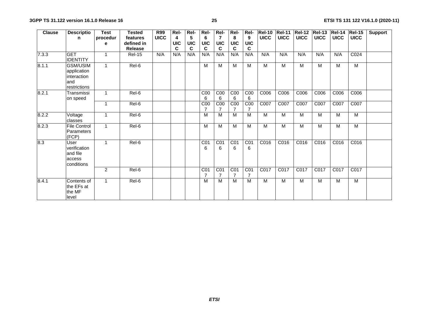| <b>Clause</b> | <b>Descriptio</b>                                                    | <b>Test</b>  | <b>Tested</b>  | R99         | Rel-       | Rel-       | Rel-                              | Rel-                              | Rel-                              | Rel-                              | <b>Rel-10</b> | <b>Rel-11</b> | <b>Rel-12</b> | <b>Rel-13</b> | <b>Rel-14</b> | <b>Rel-15</b>    | <b>Support</b> |
|---------------|----------------------------------------------------------------------|--------------|----------------|-------------|------------|------------|-----------------------------------|-----------------------------------|-----------------------------------|-----------------------------------|---------------|---------------|---------------|---------------|---------------|------------------|----------------|
|               | n                                                                    | procedur     | features       | <b>UICC</b> | 4          | 5          | 6                                 | 7                                 | 8                                 | 9                                 | <b>UICC</b>   | <b>UICC</b>   | <b>UICC</b>   | <b>UICC</b>   | <b>UICC</b>   | <b>UICC</b>      |                |
|               |                                                                      | е            | defined in     |             | <b>UIC</b> | <b>UIC</b> | <b>UIC</b>                        | <b>UIC</b>                        | <b>UIC</b>                        | <b>UIC</b>                        |               |               |               |               |               |                  |                |
|               |                                                                      |              | <b>Release</b> |             | C          | C          | C                                 | C                                 | C                                 | C                                 |               |               |               |               |               |                  |                |
| 7.3.3         | <b>GET</b><br><b>IDENTITY</b>                                        | 1            | <b>Rel-15</b>  | N/A         | N/A        | N/A        | N/A                               | N/A                               | N/A                               | N/A                               | N/A           | N/A           | N/A           | N/A           | N/A           | CO <sub>24</sub> |                |
| 8.1.1         | <b>GSM/USIM</b><br>application<br>interaction<br>and<br>restrictions | $\mathbf{1}$ | Rel-6          |             |            |            | M                                 | M                                 | M                                 | M                                 | M             | M             | M             | M             | M             | M                |                |
| 8.2.1         | Transmissi<br>on speed                                               | $\mathbf{1}$ | Rel-6          |             |            |            | C <sub>00</sub><br>6              | C <sub>00</sub><br>6              | C <sub>00</sub><br>6              | C <sub>00</sub><br>6              | C006          | C006          | C006          | C006          | C006          | C006             |                |
|               |                                                                      | $\mathbf{1}$ | Rel-6          |             |            |            | C <sub>00</sub><br>$\overline{7}$ | C <sub>00</sub>                   | C <sub>00</sub>                   | $\overline{COO}$                  | C007          | C007          | C007          | C007          | C007          | C007             |                |
| 8.2.2         | Voltage<br>classes                                                   | 1            | Rel-6          |             |            |            | M                                 | M                                 | M                                 | M                                 | M             | M             | M             | M             | M             | M                |                |
| 8.2.3         | <b>File Control</b><br>Parameters<br>(FCP)                           | $\mathbf{1}$ | Rel-6          |             |            |            | M                                 | M                                 | M                                 | M                                 | M             | M             | M             | M             | M             | М                |                |
| 8.3           | User<br>verification<br>and file<br>access<br>conditions             | $\mathbf{1}$ | Rel-6          |             |            |            | C <sub>01</sub><br>6              | CO <sub>1</sub><br>6              | CO <sub>1</sub><br>6              | CO <sub>1</sub><br>6              | C016          | C016          | C016          | C016          | C016          | C016             |                |
|               |                                                                      | 2            | Rel-6          |             |            |            | C <sub>01</sub><br>$\overline{7}$ | CO <sub>1</sub><br>$\overline{7}$ | CO <sub>1</sub><br>$\overline{7}$ | CO <sub>1</sub><br>$\overline{7}$ | C017          | C017          | C017          | C017          | C017          | C017             |                |
| 8.4.1         | Contents of<br>the EFs at<br>the MF<br>level                         | 1            | Rel-6          |             |            |            | M                                 | M                                 | M                                 | M                                 | M             | M             | M             | M             | M             | M                |                |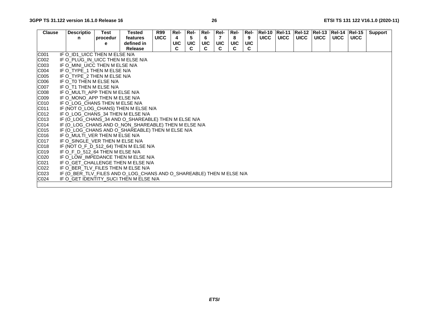| <b>Clause</b> | <b>Descriptio</b>                                                    | Test     | Tested         | <b>R99</b>  | Rel-       | Rel-       | Rel-       | Rel-       | Rel-       | Rel-       |             | <b>Rel-10 Rel-11</b> |             | Rel-12  Rel-13  Rel-14 |             | $ReI-15$    | Support |
|---------------|----------------------------------------------------------------------|----------|----------------|-------------|------------|------------|------------|------------|------------|------------|-------------|----------------------|-------------|------------------------|-------------|-------------|---------|
|               | n                                                                    | procedur | features       | <b>UICC</b> |            | 5          | 6          |            | 8          | 9          | <b>UICC</b> | <b>UICC</b>          | <b>UICC</b> | <b>UICC</b>            | <b>UICC</b> | <b>UICC</b> |         |
|               |                                                                      | е        | defined in     |             | <b>UIC</b> | <b>UIC</b> | <b>UIC</b> | <b>UIC</b> | <b>UIC</b> | <b>UIC</b> |             |                      |             |                        |             |             |         |
|               |                                                                      |          | <b>Release</b> |             | C          | C          |            |            |            | C          |             |                      |             |                        |             |             |         |
| C001          | IF O_ID1_UICC THEN M ELSE N/A                                        |          |                |             |            |            |            |            |            |            |             |                      |             |                        |             |             |         |
| C002          | IF O PLUG IN UICC THEN M ELSE N/A                                    |          |                |             |            |            |            |            |            |            |             |                      |             |                        |             |             |         |
| C003          | IF O_MINI_UICC THEN M ELSE N/A                                       |          |                |             |            |            |            |            |            |            |             |                      |             |                        |             |             |         |
| C004          | IF O TYPE 1 THEN M ELSE N/A                                          |          |                |             |            |            |            |            |            |            |             |                      |             |                        |             |             |         |
| C005          | IF O TYPE 2 THEN M ELSE N/A                                          |          |                |             |            |            |            |            |            |            |             |                      |             |                        |             |             |         |
| C006          | IF O_T0 THEN M ELSE N/A                                              |          |                |             |            |            |            |            |            |            |             |                      |             |                        |             |             |         |
| <b>C007</b>   | IF O T1 THEN M ELSE N/A                                              |          |                |             |            |            |            |            |            |            |             |                      |             |                        |             |             |         |
| C008          | IF O MULTI APP THEN M ELSE N/A                                       |          |                |             |            |            |            |            |            |            |             |                      |             |                        |             |             |         |
| C009          | IF O_MONO_APP THEN M ELSE N/A                                        |          |                |             |            |            |            |            |            |            |             |                      |             |                        |             |             |         |
| C010          | IF O LOG CHANS THEN M ELSE N/A                                       |          |                |             |            |            |            |            |            |            |             |                      |             |                        |             |             |         |
| C011          | IF (NOT O_LOG_CHANS) THEN M ELSE N/A                                 |          |                |             |            |            |            |            |            |            |             |                      |             |                        |             |             |         |
| C012          | IF O_LOG_CHANS_34 THEN M ELSE N/A                                    |          |                |             |            |            |            |            |            |            |             |                      |             |                        |             |             |         |
| C013          | IF (O_LOG_CHANS_34 AND O_SHAREABLE) THEN M ELSE N/A                  |          |                |             |            |            |            |            |            |            |             |                      |             |                        |             |             |         |
| C014          | IF (O_LOG_CHANS AND O_NON_SHAREABLE) THEN M ELSE N/A                 |          |                |             |            |            |            |            |            |            |             |                      |             |                        |             |             |         |
| C015          | IF (O_LOG_CHANS AND O_SHAREABLE) THEN M ELSE N/A                     |          |                |             |            |            |            |            |            |            |             |                      |             |                        |             |             |         |
| C016          | IF O MULTI VER THEN M ELSE N/A                                       |          |                |             |            |            |            |            |            |            |             |                      |             |                        |             |             |         |
| C017          | IF O_SINGLE_VER THEN M ELSE N/A                                      |          |                |             |            |            |            |            |            |            |             |                      |             |                        |             |             |         |
| C018          | IF (NOT O_F_D_512_64) THEN M ELSE N/A                                |          |                |             |            |            |            |            |            |            |             |                      |             |                        |             |             |         |
| C019          | IF O F D 512 64 THEN M ELSE N/A                                      |          |                |             |            |            |            |            |            |            |             |                      |             |                        |             |             |         |
| C020          | IF O_LOW_IMPEDANCE THEN M ELSE N/A                                   |          |                |             |            |            |            |            |            |            |             |                      |             |                        |             |             |         |
| C021          | IF O GET CHALLENGE THEN M ELSE N/A                                   |          |                |             |            |            |            |            |            |            |             |                      |             |                        |             |             |         |
| C022          | IF O_BER_TLV_FILES THEN M ELSE N/A                                   |          |                |             |            |            |            |            |            |            |             |                      |             |                        |             |             |         |
| C023          | IF (O_BER_TLV_FILES AND O_LOG_CHANS AND O_SHAREABLE) THEN M ELSE N/A |          |                |             |            |            |            |            |            |            |             |                      |             |                        |             |             |         |
| C024          | IF O GET IDENTITY SUCI THEN M ELSE N/A                               |          |                |             |            |            |            |            |            |            |             |                      |             |                        |             |             |         |
|               |                                                                      |          |                |             |            |            |            |            |            |            |             |                      |             |                        |             |             |         |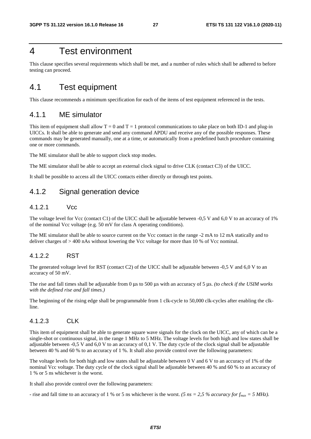### 4 Test environment

This clause specifies several requirements which shall be met, and a number of rules which shall be adhered to before testing can proceed.

### 4.1 Test equipment

This clause recommends a minimum specification for each of the items of test equipment referenced in the tests.

### 4.1.1 ME simulator

This item of equipment shall allow  $T = 0$  and  $T = 1$  protocol communications to take place on both ID-1 and plug-in UICCs. It shall be able to generate and send any command APDU and receive any of the possible responses. These commands may be generated manually, one at a time, or automatically from a predefined batch procedure containing one or more commands.

The ME simulator shall be able to support clock stop modes.

The ME simulator shall be able to accept an external clock signal to drive CLK (contact C3) of the UICC.

It shall be possible to access all the UICC contacts either directly or through test points.

### 4.1.2 Signal generation device

#### 4.1.2.1 Vcc

The voltage level for Vcc (contact C1) of the UICC shall be adjustable between -0,5 V and 6,0 V to an accuracy of 1% of the nominal Vcc voltage (e.g. 50 mV for class A operating conditions).

The ME simulator shall be able to source current on the Vcc contact in the range -2 mA to 12 mA statically and to deliver charges of > 400 nAs without lowering the Vcc voltage for more than 10 % of Vcc nominal.

#### 4.1.2.2 RST

The generated voltage level for RST (contact C2) of the UICC shall be adjustable between -0,5 V and 6,0 V to an accuracy of 50 mV.

The rise and fall times shall be adjustable from 0 μs to 500 μs with an accuracy of 5 μs. *(to check if the USIM works with the defined rise and fall times.)*

The beginning of the rising edge shall be programmable from 1 clk-cycle to 50,000 clk-cycles after enabling the clkline.

#### 4.1.2.3 CLK

This item of equipment shall be able to generate square wave signals for the clock on the UICC, any of which can be a single-shot or continuous signal, in the range 1 MHz to 5 MHz. The voltage levels for both high and low states shall be adjustable between -0,5 V and 6,0 V to an accuracy of 0,1 V. The duty cycle of the clock signal shall be adjustable between 40 % and 60 % to an accuracy of 1 %. It shall also provide control over the following parameters:

The voltage levels for both high and low states shall be adjustable between 0 V and 6 V to an accuracy of 1% of the nominal Vcc voltage. The duty cycle of the clock signal shall be adjustable between 40 % and 60 % to an accuracy of 1 % or 5 ns whichever is the worst.

It shall also provide control over the following parameters:

- rise and fall time to an accuracy of 1 % or 5 ns whichever is the worst. *(5 ns = 2,5 % accuracy for f<sub>max</sub> = 5 MHz)*.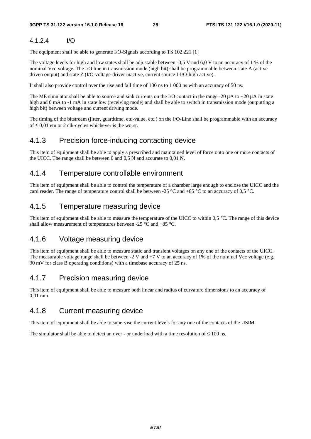#### 4.1.2.4 I/O

The equipment shall be able to generate I/O-Signals according to TS 102.221 [1]

The voltage levels for high and low states shall be adjustable between -0,5 V and 6,0 V to an accuracy of 1 % of the nominal Vcc voltage. The I/O line in transmission mode (high bit) shall be programmable between state A (active driven output) and state Z (I/O-voltage-driver inactive, current source I-I/O-high active).

It shall also provide control over the rise and fall time of 100 ns to 1 000 ns with an accuracy of 50 ns.

The ME simulator shall be able to source and sink currents on the I/O contact in the range -20 μA to +20 μA in state high and 0 mA to -1 mA in state low (receiving mode) and shall be able to switch in transmission mode (outputting a high bit) between voltage and current driving mode.

The timing of the bitstream (jitter, guardtime, etu-value, etc.) on the I/O-Line shall be programmable with an accuracy of ≤ 0,01 etu or 2 clk-cycles whichever is the worst.

### 4.1.3 Precision force-inducing contacting device

This item of equipment shall be able to apply a prescribed and maintained level of force onto one or more contacts of the UICC. The range shall be between 0 and 0,5 N and accurate to 0,01 N.

### 4.1.4 Temperature controllable environment

This item of equipment shall be able to control the temperature of a chamber large enough to enclose the UICC and the card reader. The range of temperature control shall be between -25 °C and +85 °C to an accuracy of 0,5 °C.

### 4.1.5 Temperature measuring device

This item of equipment shall be able to measure the temperature of the UICC to within  $0.5 \degree C$ . The range of this device shall allow measurement of temperatures between -25 °C and +85 °C.

### 4.1.6 Voltage measuring device

This item of equipment shall be able to measure static and transient voltages on any one of the contacts of the UICC. The measurable voltage range shall be between  $-2$  V and  $+7$  V to an accuracy of 1% of the nominal Vcc voltage (e.g. 30 mV for class B operating conditions) with a timebase accuracy of 25 ns.

### 4.1.7 Precision measuring device

This item of equipment shall be able to measure both linear and radius of curvature dimensions to an accuracy of 0,01 mm.

### 4.1.8 Current measuring device

This item of equipment shall be able to supervise the current levels for any one of the contacts of the USIM.

The simulator shall be able to detect an over - or underload with a time resolution of  $\leq 100$  ns.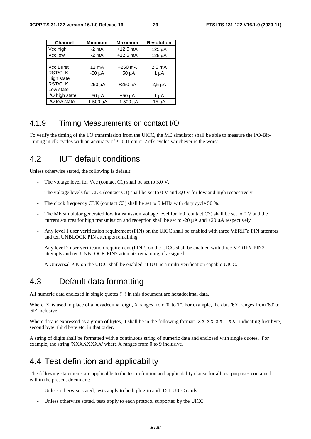| <b>Channel</b> | <b>Minimum</b> | <b>Maximum</b> | <b>Resolution</b> |
|----------------|----------------|----------------|-------------------|
| Vcc high       | $-2$ mA        | $+12.5$ mA     | 125 uA            |
| Vcc low        | $-2$ mA        | $+12,5$ mA     | 125 µA            |
|                |                |                |                   |
| Vcc Burst      | 12 mA          | $+250$ mA      | $2,5 \text{ mA}$  |
| <b>RST/CLK</b> | $-50 \mu A$    | $+50 \mu A$    | 1 $\mu$ A         |
| High state     |                |                |                   |
| <b>RST/CLK</b> | $-250$ $\mu$ A | $+250 \mu A$   | $2,5 \mu A$       |
| Low state      |                |                |                   |
| I/O high state | -50 µA         | $+50 \mu A$    | 1 µA              |
| I/O low state  | $-1500 \mu A$  | $+1500 \mu A$  | $15 \mu A$        |

### 4.1.9 Timing Measurements on contact I/O

To verify the timing of the I/O transmission from the UICC, the ME simulator shall be able to measure the I/O-Bit-Timing in clk-cycles with an accuracy of  $\leq 0.01$  etu or 2 clk-cycles whichever is the worst.

### 4.2 IUT default conditions

Unless otherwise stated, the following is default:

- The voltage level for Vcc (contact C1) shall be set to  $3.0$  V.
- The voltage levels for CLK (contact C3) shall be set to 0 V and 3,0 V for low and high respectively.
- The clock frequency CLK (contact C3) shall be set to 5 MHz with duty cycle 50  $\%$ .
- The ME simulator generated low transmission voltage level for I/O (contact C7) shall be set to 0 V and the current sources for high transmission and reception shall be set to -20  $\mu$ A and +20  $\mu$ A respectively
- Any level 1 user verification requirement (PIN) on the UICC shall be enabled with three VERIFY PIN attempts and ten UNBLOCK PIN attempts remaining.
- Any level 2 user verification requirement (PIN2) on the UICC shall be enabled with three VERIFY PIN2 attempts and ten UNBLOCK PIN2 attempts remaining, if assigned.
- A Universal PIN on the UICC shall be enabled, if IUT is a multi-verification capable UICC.

### 4.3 Default data formatting

All numeric data enclosed in single quotes (' ') in this document are hexadecimal data.

Where 'X' is used in place of a hexadecimal digit, X ranges from '0' to 'F'. For example, the data '6X' ranges from '60' to '6F' inclusive.

Where data is expressed as a group of bytes, it shall be in the following format: 'XX XX XX... XX', indicating first byte, second byte, third byte etc. in that order.

A string of digits shall be formatted with a continuous string of numeric data and enclosed with single quotes. For example, the string 'XXXXXXXX' where X ranges from 0 to 9 inclusive.

### 4.4 Test definition and applicability

The following statements are applicable to the test definition and applicability clause for all test purposes contained within the present document:

- Unless otherwise stated, tests apply to both plug-in and ID-1 UICC cards.
- Unless otherwise stated, tests apply to each protocol supported by the UICC.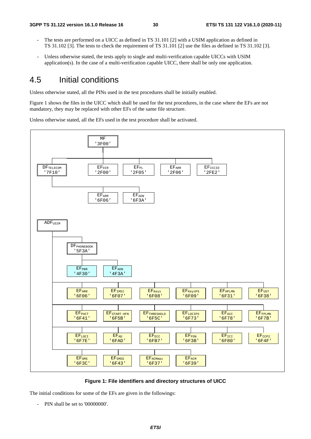- The tests are performed on a UICC as defined in TS 31.101 [2] with a USIM application as defined in TS 31.102 [3]. The tests to check the requirement of TS 31.101 [2] use the files as defined in TS 31.102 [3].
- Unless otherwise stated, the tests apply to single and multi-verification capable UICCs with USIM application(s). In the case of a multi-verification capable UICC, there shall be only one application.

### 4.5 Initial conditions

Unless otherwise stated, all the PINs used in the test procedures shall be initially enabled.

Figure 1 shows the files in the UICC which shall be used for the test procedures, in the case where the EFs are not mandatory, they may be replaced with other EFs of the same file structure.

Unless otherwise stated, all the EFs used in the test procedure shall be activated.



**Figure 1: File identifiers and directory structures of UICC** 

The initial conditions for some of the EFs are given in the followings:

- PIN shall be set to '00000000'.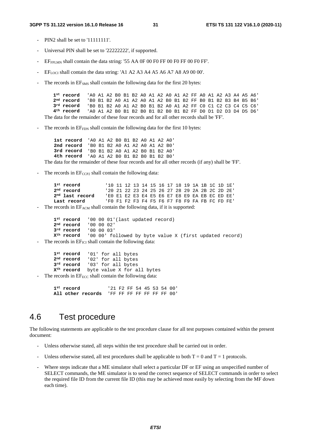#### **3GPP TS 31.122 version 16.1.0 Release 16 31 ETSI TS 131 122 V16.1.0 (2020-11)**

- PIN2 shall be set to '11111111'.
- Universal PIN shall be set to '22222222', if supported.
- $EF_{FPIMN}$  shall contain the data string: '55 AA 0F 00 F0 FF 00 F0 FF 00 F0 FF'.
- EF<sub>LOCI</sub> shall contain the data string: 'A1 A2 A3 A4 A5 A6 A7 A8 A9 00 00'.
- The records in EF<sub>SMS</sub> shall contain the following data for the first 20 bytes:

| 1 <sup>st</sup> record (AO A1 A2 BO B1 B2 AO A1 A2 AO A1 A2 FF AO A1 A2 A3 A4 A5 A6)      |                                                               |  |  |  |  |  |  |  |  |  |  |  |  |  |  |  |
|-------------------------------------------------------------------------------------------|---------------------------------------------------------------|--|--|--|--|--|--|--|--|--|--|--|--|--|--|--|
| 2 <sup>nd</sup> record                                                                    | 'BO B1 B2 A0 A1 A2 A0 A1 A2 B0 B1 B2 FF B0 B1 B2 B3 B4 B5 B6' |  |  |  |  |  |  |  |  |  |  |  |  |  |  |  |
| 3 <sup>rd</sup> record                                                                    | 'BO B1 B2 A0 A1 A2 B0 B1 B2 A0 A1 A2 FF C0 C1 C2 C3 C4 C5 C6' |  |  |  |  |  |  |  |  |  |  |  |  |  |  |  |
| $4^{\rm th}$ record                                                                       | 'AO A1 A2 BO B1 B2 BO B1 B2 BO B1 B2 FF DO D1 D2 D3 D4 D5 D6' |  |  |  |  |  |  |  |  |  |  |  |  |  |  |  |
| The data for the remainder of these four records and for all other records shall be 'FF'. |                                                               |  |  |  |  |  |  |  |  |  |  |  |  |  |  |  |

The records in EF<sub>FDN</sub> shall contain the following data for the first 10 bytes:

**1st record** 'A0 A1 A2 B0 B1 B2 A0 A1 A2 A0' **2nd record** 'B0 B1 B2 A0 A1 A2 A0 A1 A2 B0' **3rd record** 'B0 B1 B2 A0 A1 A2 B0 B1 B2 A0' **4th record** 'A0 A1 A2 B0 B1 B2 B0 B1 B2 B0'

The data for the remainder of these four records and for all other records (if any) shall be 'FF'.

The records in  $E_{CCP2}$  shall contain the following data:

```
1st record 10 11 12 13 14 15 16 17 18 19 1A 1B 1C 1D 1E'<br>
2nd record 20 21 22 23 24 25 26 27 28 29 2A 2B 2C 2D 2E'
2nd record '20 21 22 23 24 25 26 27 28 29 2A 2B 2C 2D 2E'
                      2nd last record 'E0 E1 E2 E3 E4 E5 E6 E7 E8 E9 EA EB EC ED EE'
Last record 'F0 F1 F2 F3 F4 F5 F6 F7 F8 F9 FA FB FC FD FE'
```
The records in EF<sub>ACM</sub> shall contain the following data, if it is supported:

```
1<sup>st</sup> record 1000001'(last updated record)<br>2<sup>nd</sup> record 1000002'
2<sup>nd</sup> record
3rd record '00 00 03' 
Xth record '00 00' followed by byte value X (first updated record)
```
The records in  $EF_{\text{ICI}}$  shall contain the following data:

**1st record** '01' for all bytes **2nd record** '02' for all bytes **3rd record** '03' for all bytes **Xth record** byte value X for all bytes

The records in  $EF_{ECC}$  shall contain the following data:

**1st record** '21 F2 FF 54 45 53 54 00' **All other records** 'FF FF FF FF FF FF FF 00'

### 4.6 Test procedure

The following statements are applicable to the test procedure clause for all test purposes contained within the present document:

- Unless otherwise stated, all steps within the test procedure shall be carried out in order.
- Unless otherwise stated, all test procedures shall be applicable to both  $T = 0$  and  $T = 1$  protocols.
- Where steps indicate that a ME simulator shall select a particular DF or EF using an unspecified number of SELECT commands, the ME simulator is to send the correct sequence of SELECT commands in order to select the required file ID from the current file ID (this may be achieved most easily by selecting from the MF down each time).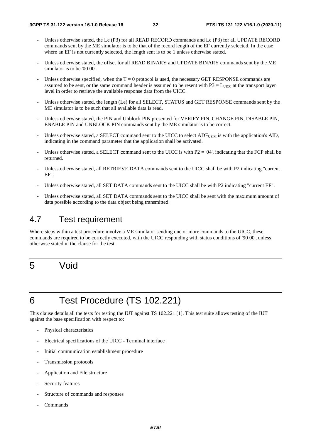- Unless otherwise stated, the Le (P3) for all READ RECORD commands and Lc (P3) for all UPDATE RECORD commands sent by the ME simulator is to be that of the record length of the EF currently selected. In the case where an EF is not currently selected, the length sent is to be 1 unless otherwise stated.
- Unless otherwise stated, the offset for all READ BINARY and UPDATE BINARY commands sent by the ME simulator is to be '00 00'.
- Unless otherwise specified, when the  $T = 0$  protocol is used, the necessary GET RESPONSE commands are assumed to be sent, or the same command header is assumed to be resent with  $P3 = L_{UICC}$  at the transport layer level in order to retrieve the available response data from the UICC.
- Unless otherwise stated, the length (Le) for all SELECT, STATUS and GET RESPONSE commands sent by the ME simulator is to be such that all available data is read.
- Unless otherwise stated, the PIN and Unblock PIN presented for VERIFY PIN, CHANGE PIN, DISABLE PIN, ENABLE PIN and UNBLOCK PIN commands sent by the ME simulator is to be correct.
- Unless otherwise stated, a SELECT command sent to the UICC to select ADF<sub>USIM</sub> is with the application's AID, indicating in the command parameter that the application shall be activated.
- Unless otherwise stated, a SELECT command sent to the UICC is with  $P2 = '04'$ , indicating that the FCP shall be returned.
- Unless otherwise stated, all RETRIEVE DATA commands sent to the UICC shall be with P2 indicating "current" EF".
- Unless otherwise stated, all SET DATA commands sent to the UICC shall be with P2 indicating "current EF".
- Unless otherwise stated, all SET DATA commands sent to the UICC shall be sent with the maximum amount of data possible according to the data object being transmitted.

### 4.7 Test requirement

Where steps within a test procedure involve a ME simulator sending one or more commands to the UICC, these commands are required to be correctly executed, with the UICC responding with status conditions of '90 00', unless otherwise stated in the clause for the test.

## 5 Void

## 6 Test Procedure (TS 102.221)

This clause details all the tests for testing the IUT against TS 102.221 [1]. This test suite allows testing of the IUT against the base specification with respect to:

- Physical characteristics
- Electrical specifications of the UICC Terminal interface
- Initial communication establishment procedure
- Transmission protocols
- Application and File structure
- Security features
- Structure of commands and responses
- Commands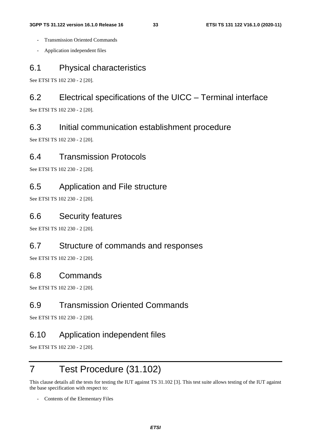- Transmission Oriented Commands
- Application independent files

### 6.1 Physical characteristics

See ETSI TS 102 230 - 2 [20].

### 6.2 Electrical specifications of the UICC – Terminal interface

See ETSI TS 102 230 - 2 [20].

### 6.3 Initial communication establishment procedure

See ETSI TS 102 230 - 2 [20].

### 6.4 Transmission Protocols

See ETSI TS 102 230 - 2 [20].

### 6.5 Application and File structure

See ETSI TS 102 230 - 2 [20].

### 6.6 Security features

See ETSI TS 102 230 - 2 [20].

### 6.7 Structure of commands and responses

See ETSI TS 102 230 - 2 [20].

### 6.8 Commands

See ETSI TS 102 230 - 2 [20].

### 6.9 Transmission Oriented Commands

See ETSI TS 102 230 - 2 [20].

### 6.10 Application independent files

See ETSI TS 102 230 - 2 [20].

## 7 Test Procedure (31.102)

This clause details all the tests for testing the IUT against TS 31.102 [3]. This test suite allows testing of the IUT against the base specification with respect to:

Contents of the Elementary Files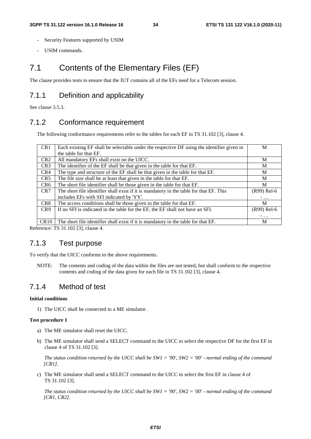- Security Features supported by USIM
- USIM commands.

### 7.1 Contents of the Elementary Files (EF)

The clause provides tests to ensure that the IUT contains all of the EFs need for a Telecom session.

### 7.1.1 Definition and applicability

See clause 3.5.3.

### 7.1.2 Conformance requirement

The following conformance requirements refer to the tables for each EF in TS 31.102 [3], clause 4.

| CR <sub>1</sub> | Each existing EF shall be selectable under the respective DF using the identifier given in | M           |
|-----------------|--------------------------------------------------------------------------------------------|-------------|
|                 | the table for that EF.                                                                     |             |
| CR <sub>2</sub> | All mandatory EFs shall exist on the UICC.                                                 | M           |
| CR <sub>3</sub> | The identifier of the EF shall be that given in the table for that EF.                     | М           |
| CR4             | The type and structure of the EF shall be that given in the table for that EF.             | M           |
| CR5             | The file size shall be at least that given in the table for that EF.                       | M           |
| CR <sub>6</sub> | The short file identifier shall be those given in the table for that EF.                   | M           |
| CR7             | The short file identifier shall exist if it is mandatory in the table for that EF. This    | (R99) Rel-6 |
|                 | includes EFs with SFI indicated by 'YY'.                                                   | $-$         |
| CR8             | The access conditions shall be those given in the table for that EF.                       | M           |
| CR <sub>9</sub> | If no SFI is indicated in the table for the EF, the EF shall not have an SFI.              | (R99) Rel-6 |
|                 |                                                                                            | $-$         |
| CR10            | The short file identifier shall exist if it is mandatory in the table for that EF.         | M           |

Reference: TS 31.102 [3], clause 4.

### 7.1.3 Test purpose

To verify that the UICC conforms to the above requirements.

NOTE: The contents and coding of the data within the files are not tested, but shall conform to the respective contents and coding of the data given for each file in TS 31.102 [3], clause 4.

### 7.1.4 Method of test

#### **Initial conditions**

1) The UICC shall be connected to a ME simulator.

#### **Test procedure 1**

- a) The ME simulator shall reset the UICC.
- b) The ME simulator shall send a SELECT command to the UICC to select the respective DF for the first EF in clause 4 of TS 31.102 [3].

*The status condition returned by the UICC shall be SW1 = '90', SW2 = '00' - normal ending of the command [CR1].*

c) The ME simulator shall send a SELECT command to the UICC to select the first EF in clause 4 of TS 31.102 [3].

*The status condition returned by the UICC shall be SW1 = '90', SW2 = '00' - normal ending of the command [CR1, CR2].*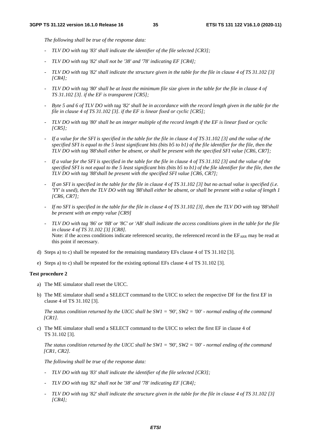*The following shall be true of the response data:* 

- *TLV DO with tag '83' shall indicate the identifier of the file selected [CR3];*
- *TLV DO with tag '82' shall not be '38' and '78' indicating EF [CR4];*
- *TLV DO with tag '82' shall indicate the structure given in the table for the file in clause 4 of TS 31.102 [3] [CR4];*
- *TLV DO with tag '80' shall be at least the minimum file size given in the table for the file in clause 4 of TS 31.102 [3]. if the EF is transparent [CR5];*
- *Byte 5 and 6 of TLV DO with tag '82' shall be in accordance with the record length given in the table for the file in clause 4 of TS 31.102 [3]. if the EF is linear fixed or cyclic [CR5];*
- *TLV DO with tag '80' shall be an integer multiple of the record length if the EF is linear fixed or cyclic [CR5];*
- *If a value for the SFI is specified in the table for the file in clause 4 of TS 31.102 [3] and the value of the specified SFI is equal to the 5 least significant bits (bits b5 to b1) of the file identifier for the file, then the TLV DO with tag '88'shall either be absent, or shall be present with the specified SFI value [CR6, CR7];*
- *If a value for the SFI is specified in the table for the file in clause 4 of TS 31.102 [3] and the value of the specified SFI is not equal to the 5 least significant bits (bits b5 to b1) of the file identifier for the file, then the TLV DO with tag '88'shall be present with the specified SFI value [CR6, CR7];*
- *If an SFI is specified in the table for the file in clause 4 of TS 31.102 [3] but no actual value is specified (i.e. 'YY' is used), then the TLV DO with tag '88'shall either be absent, or shall be present with a value of length 1 [CR6, CR7];*
- *If no SFI is specified in the table for the file in clause 4 of TS 31.102 [3], then the TLV DO with tag '88'shall be present with an empty value [CR9]*
- *TLV DO with tag '86' or '8B' or '8C' or 'AB' shall indicate the access conditions given in the table for the file in clause 4 of TS 31.102 [3] [CR8].*  Note: if the access conditions indicate referenced security, the referenced record in the EFARR may be read at this point if necessary.
- d) Steps a) to c) shall be repeated for the remaining mandatory EFs clause 4 of TS 31.102 [3].
- e) Steps a) to c) shall be repeated for the existing optional EFs clause 4 of TS 31.102 [3].

#### **Test procedure 2**

- a) The ME simulator shall reset the UICC.
- b) The ME simulator shall send a SELECT command to the UICC to select the respective DF for the first EF in clause 4 of TS 31.102 [3].

*The status condition returned by the UICC shall be SW1 = '90', SW2 = '00' - normal ending of the command [CR1].*

c) The ME simulator shall send a SELECT command to the UICC to select the first EF in clause 4 of TS 31.102 [3].

*The status condition returned by the UICC shall be SW1 = '90', SW2 = '00' - normal ending of the command [CR1, CR2].*

*The following shall be true of the response data:* 

- *TLV DO with tag '83' shall indicate the identifier of the file selected [CR3];*
- *TLV DO with tag '82' shall not be '38' and '78' indicating EF [CR4];*
- *TLV DO with tag '82' shall indicate the structure given in the table for the file in clause 4 of TS 31.102 [3] [CR4];*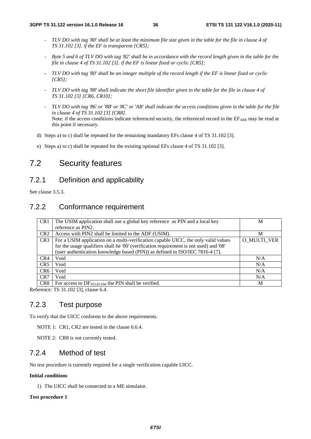- *TLV DO with tag '80' shall be at least the minimum file size given in the table for the file in clause 4 of TS 31.102 [3]. if the EF is transparent [CR5];*
- *Byte 5 and 6 of TLV DO with tag '82' shall be in accordance with the record length given in the table for the file in clause 4 of TS 31.102 [3]. if the EF is linear fixed or cyclic [CR5];*
- *TLV DO with tag '80' shall be an integer multiple of the record length if the EF is linear fixed or cyclic [CR5];*
- *TLV DO with tag '88' shall indicate the short file identifier given in the table for the file in clause 4 of TS 31.102 [3] [CR6, CR10];*
- *TLV DO with tag '86' or '8B' or '8C' or 'AB' shall indicate the access conditions given in the table for the file in clause 4 of TS 31.102 [3] [CR8].*  Note: if the access conditions indicate referenced security, the referenced record in the  $E_{ARR}$  may be read at this point if necessary.
- d) Steps a) to c) shall be repeated for the remaining mandatory EFs clause 4 of TS 31.102 [3].
- e) Steps a) to c) shall be repeated for the existing optional EFs clause 4 of TS 31.102 [3].

### 7.2 Security features

### 7.2.1 Definition and applicability

See clause 3.5.3.

### 7.2.2 Conformance requirement

| CR <sub>1</sub> | The USIM application shall use a global key reference as PIN and a local key           | М                  |
|-----------------|----------------------------------------------------------------------------------------|--------------------|
|                 | reference as PIN2.                                                                     |                    |
| CR <sub>2</sub> | Access with PIN2 shall be limited to the ADF (USIM).                                   | М                  |
| CR <sub>3</sub> | For a USIM application on a multi-verification capable UICC, the only valid values     | <b>O MULTI VER</b> |
|                 | for the usage qualifiers shall be '00' (verification requirement is not used) and '08' |                    |
|                 | (user authentication knowledge based (PIN)) as defined in ISO/IEC 7816-4 [7].          |                    |
| CR4             | Void                                                                                   | N/A                |
| CR <sub>5</sub> | Void                                                                                   | N/A                |
| CR <sub>6</sub> | Void                                                                                   | N/A                |
| CR7             | Void                                                                                   | N/A                |
| CR <sub>8</sub> | For access to DFTELECOM the PIN shall be verified.                                     | M                  |

Reference: TS 31.102 [3], clause 6.4.

### 7.2.3 Test purpose

To verify that the UICC conforms to the above requirements.

NOTE 1: CR1, CR2 are tested in the clause 6.6.4.

NOTE 2: CR8 is not currently tested.

### 7.2.4 Method of test

No test procedure is currently required for a single verification capable UICC.

#### **Initial conditions**

1) The UICC shall be connected to a ME simulator.

#### **Test procedure 1**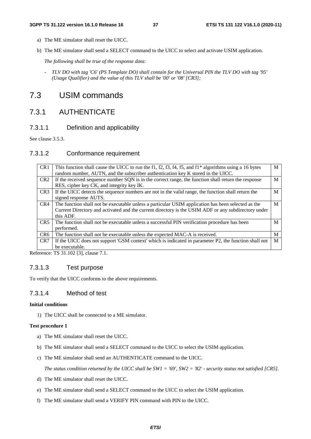- a) The ME simulator shall reset the UICC.
- b) The ME simulator shall send a SELECT command to the UICC to select and activate USIM application.

*The following shall be true of the response data:* 

*- TLV DO with tag 'C6' (PS Template DO) shall contain for the Universal PIN the TLV DO with tag '95' (Usage Qualifier) and the value of this TLV shall be '00' or '08' [CR3];* 

### 7.3 USIM commands

### 7.3.1 AUTHENTICATE

#### 7.3.1.1 Definition and applicability

See clause 3.5.3.

#### 7.3.1.2 Conformance requirement

| CR <sub>1</sub> | This function shall cause the UICC to run the f1, f2, f3, f4, f5, and f1* algorithms using a 16 bytes | M |
|-----------------|-------------------------------------------------------------------------------------------------------|---|
|                 | random number, AUTN, and the subscriber authentication key K stored in the UICC.                      |   |
| CR <sub>2</sub> | If the received sequence number SQN is in the correct range, the function shall return the response   | M |
|                 | RES, cipher key CK, and integrity key IK.                                                             |   |
| CR <sub>3</sub> | If the UICC detects the sequence numbers are not in the valid range, the function shall return the    | M |
|                 | signed response AUTS.                                                                                 |   |
| CR4             | The function shall not be executable unless a particular USIM application has been selected as the    | M |
|                 | Current Directory and activated and the current directory is the USIM ADF or any subdirectory under   |   |
|                 | this ADF.                                                                                             |   |
| CR5             | The function shall not be executable unless a successful PIN verification procedure has been          | M |
|                 | performed.                                                                                            |   |
| CR <sub>6</sub> | The function shall not be executable unless the expected MAC-A is received.                           | M |
| CR7             | If the UICC does not support 'GSM context' which is indicated in parameter P2, the function shall not | M |
|                 | be executable.                                                                                        |   |

Reference: TS 31.102 [3], clause 7.1.

#### 7.3.1.3 Test purpose

To verify that the UICC conforms to the above requirements.

#### 7.3.1.4 Method of test

#### **Initial conditions**

1) The UICC shall be connected to a ME simulator.

#### **Test procedure 1**

- a) The ME simulator shall reset the UICC.
- b) The ME simulator shall send a SELECT command to the UICC to select the USIM application.
- c) The ME simulator shall send an AUTHENTICATE command to the UICC.

*The status condition returned by the UICC shall be SW1 = '69', SW2 = '82' - security status not satisfied [CR5].* 

- d) The ME simulator shall reset the UICC.
- e) The ME simulator shall send a SELECT command to the UICC to select the USIM application.
- f) The ME simulator shall send a VERIFY PIN command with PIN to the UICC.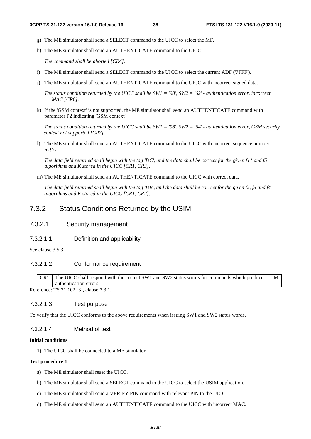M

- g) The ME simulator shall send a SELECT command to the UICC to select the MF.
- h) The ME simulator shall send an AUTHENTICATE command to the UICC.

*The command shall be aborted [CR4].* 

- i) The ME simulator shall send a SELECT command to the UICC to select the current ADF ('7FFF').
- j) The ME simulator shall send an AUTHENTICATE command to the UICC with incorrect signed data.

*The status condition returned by the UICC shall be SW1 = '98', SW2 = '62' - authentication error, incorrect MAC [CR6].* 

k) If the 'GSM context' is not supported, the ME simulator shall send an AUTHENTICATE command with parameter P2 indicating 'GSM context'.

*The status condition returned by the UICC shall be SW1 = '98', SW2 = '64' - authentication error, GSM security context not supported [CR7].*

l) The ME simulator shall send an AUTHENTICATE command to the UICC with incorrect sequence number SQN.

*The data field returned shall begin with the tag 'DC', and the data shall be correct for the given f1\* and f5 algorithms and K stored in the UICC [CR1, CR3].*

m) The ME simulator shall send an AUTHENTICATE command to the UICC with correct data.

*The data field returned shall begin with the tag 'DB', and the data shall be correct for the given f2, f3 and f4 algorithms and K stored in the UICC [CR1, CR2].*

#### 7.3.2 Status Conditions Returned by the USIM

#### 7.3.2.1 Security management

7.3.2.1.1 Definition and applicability

See clause 3.5.3.

#### 7.3.2.1.2 Conformance requirement

CR1 The UICC shall respond with the correct SW1 and SW2 status words for commands which produce authentication errors.

Reference: TS 31.102 [3], clause 7.3.1.

#### 7.3.2.1.3 Test purpose

To verify that the UICC conforms to the above requirements when issuing SW1 and SW2 status words.

#### 7.3.2.1.4 Method of test

#### **Initial conditions**

1) The UICC shall be connected to a ME simulator.

#### **Test procedure 1**

- a) The ME simulator shall reset the UICC.
- b) The ME simulator shall send a SELECT command to the UICC to select the USIM application.
- c) The ME simulator shall send a VERIFY PIN command with relevant PIN to the UICC.
- d) The ME simulator shall send an AUTHENTICATE command to the UICC with incorrect MAC.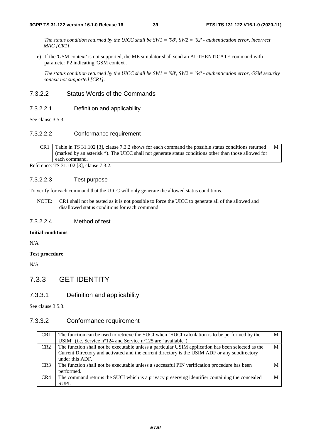*The status condition returned by the UICC shall be SW1 = '98', SW2 = '62' - authentication error, incorrect MAC [CR1].*

e) If the 'GSM context' is not supported, the ME simulator shall send an AUTHENTICATE command with parameter P2 indicating 'GSM context'.

*The status condition returned by the UICC shall be SW1 = '98', SW2 = '64' - authentication error, GSM security context not supported [CR1].*

#### 7.3.2.2 Status Words of the Commands

#### 7.3.2.2.1 Definition and applicability

See clause 3.5.3.

#### 7.3.2.2.2 Conformance requirement

CR1 Table in TS 31.102 [3], clause 7.3.2 shows for each command the possible status conditions returned (marked by an asterisk \*). The UICC shall not generate status conditions other than those allowed for each command. M

Reference: TS 31.102 [3], clause 7.3.2.

#### 7.3.2.2.3 Test purpose

To verify for each command that the UICC will only generate the allowed status conditions.

NOTE: CR1 shall not be tested as it is not possible to force the UICC to generate all of the allowed and disallowed status conditions for each command.

#### 7.3.2.2.4 Method of test

#### **Initial conditions**

N/A

#### **Test procedure**

N/A

#### 7.3.3 GET IDENTITY

#### 7.3.3.1 Definition and applicability

See clause 3.5.3.

#### 7.3.3.2 Conformance requirement

| CR <sub>1</sub> | The function can be used to retrieve the SUCI when "SUCI calculation is to be performed by the     | М |
|-----------------|----------------------------------------------------------------------------------------------------|---|
|                 | USIM" (i.e. Service n°124 and Service n°125 are "available").                                      |   |
| CR2             | The function shall not be executable unless a particular USIM application has been selected as the | M |
|                 | Current Directory and activated and the current directory is the USIM ADF or any subdirectory      |   |
|                 | under this ADF.                                                                                    |   |
| CR <sub>3</sub> | The function shall not be executable unless a successful PIN verification procedure has been       | M |
|                 | performed.                                                                                         |   |
| CR4             | The command returns the SUCI which is a privacy preserving identifier containing the concealed     | M |
|                 | SUPI.                                                                                              |   |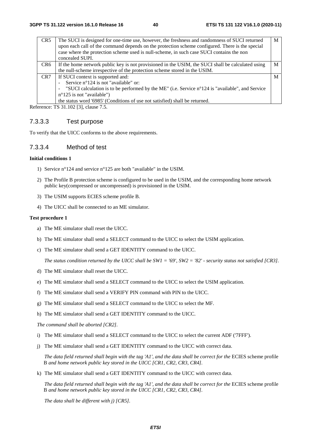| CR <sub>5</sub> | The SUCI is designed for one-time use, however, the freshness and randomness of SUCI returned<br>upon each call of the command depends on the protection scheme configured. There is the special<br>case where the protection scheme used is null-scheme, in such case SUCI contains the non<br>concealed SUPI. | M |
|-----------------|-----------------------------------------------------------------------------------------------------------------------------------------------------------------------------------------------------------------------------------------------------------------------------------------------------------------|---|
| CR6             | If the home network public key is not provisioned in the USIM, the SUCI shall be calculated using                                                                                                                                                                                                               | M |
|                 | the null-scheme irrespective of the protection scheme stored in the USIM.                                                                                                                                                                                                                                       |   |
| CR <sub>7</sub> | If SUCI context is supported and:                                                                                                                                                                                                                                                                               | M |
|                 | Service n°124 is not "available" or:                                                                                                                                                                                                                                                                            |   |
|                 | "SUCI calculation is to be performed by the ME" (i.e. Service n°124 is "available", and Service                                                                                                                                                                                                                 |   |
|                 | $n^{\circ}125$ is not "available")                                                                                                                                                                                                                                                                              |   |
|                 | the status word '6985' (Conditions of use not satisfied) shall be returned.                                                                                                                                                                                                                                     |   |

Reference: TS 31.102 [3], clause 7.5.

#### 7.3.3.3 Test purpose

To verify that the UICC conforms to the above requirements.

#### 7.3.3.4 Method of test

#### **Initial conditions 1**

- 1) Service n°124 and service n°125 are both "available" in the USIM.
- 2) The Profile B protection scheme is configured to be used in the USIM, and the corresponding home network public key(compressed or uncompressed) is provisioned in the USIM.
- 3) The USIM supports ECIES scheme profile B.
- 4) The UICC shall be connected to an ME simulator.

#### **Test procedure 1**

- a) The ME simulator shall reset the UICC.
- b) The ME simulator shall send a SELECT command to the UICC to select the USIM application.
- c) The ME simulator shall send a GET IDENTITY command to the UICC.

*The status condition returned by the UICC shall be SW1 = '69', SW2 = '82' - security status not satisfied [CR3].*

- d) The ME simulator shall reset the UICC.
- e) The ME simulator shall send a SELECT command to the UICC to select the USIM application.
- f) The ME simulator shall send a VERIFY PIN command with PIN to the UICC.
- g) The ME simulator shall send a SELECT command to the UICC to select the MF.
- h) The ME simulator shall send a GET IDENTITY command to the UICC.

*The command shall be aborted [CR2].*

- i) The ME simulator shall send a SELECT command to the UICC to select the current ADF ('7FFF').
- j) The ME simulator shall send a GET IDENTITY command to the UICC with correct data.

*The data field returned shall begin with the tag 'A1', and the data shall be correct for the* ECIES scheme profile B *and home network public key stored in the UICC [CR1, CR2, CR3, CR4].* 

k) The ME simulator shall send a GET IDENTITY command to the UICC with correct data.

*The data field returned shall begin with the tag 'A1', and the data shall be correct for the* ECIES scheme profile B *and home network public key stored in the UICC [CR1, CR2, CR3, CR4].* 

*The data shall be different with j) [CR5].*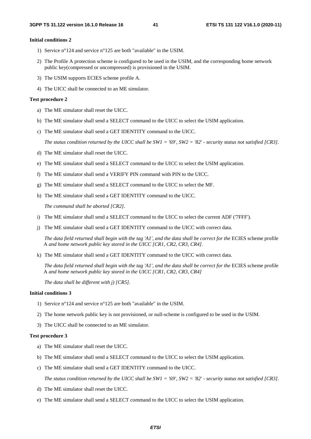#### **Initial conditions 2**

- 1) Service n°124 and service n°125 are both "available" in the USIM.
- 2) The Profile A protection scheme is configured to be used in the USIM, and the corresponding home network public key(compressed or uncompressed) is provisioned in the USIM.
- 3) The USIM supports ECIES scheme profile A.
- 4) The UICC shall be connected to an ME simulator.

#### **Test procedure 2**

- a) The ME simulator shall reset the UICC.
- b) The ME simulator shall send a SELECT command to the UICC to select the USIM application.
- c) The ME simulator shall send a GET IDENTITY command to the UICC.

*The status condition returned by the UICC shall be SW1 = '69', SW2 = '82' - security status not satisfied [CR3].*

- d) The ME simulator shall reset the UICC.
- e) The ME simulator shall send a SELECT command to the UICC to select the USIM application.
- f) The ME simulator shall send a VERIFY PIN command with PIN to the UICC.
- g) The ME simulator shall send a SELECT command to the UICC to select the MF.
- h) The ME simulator shall send a GET IDENTITY command to the UICC.

*The command shall be aborted [CR2].*

- i) The ME simulator shall send a SELECT command to the UICC to select the current ADF ('7FFF').
- j) The ME simulator shall send a GET IDENTITY command to the UICC with correct data.

*The data field returned shall begin with the tag 'A1', and the data shall be correct for the* ECIES scheme profile A *and home network public key stored in the UICC [CR1, CR2, CR3, CR4].* 

k) The ME simulator shall send a GET IDENTITY command to the UICC with correct data.

*The data field returned shall begin with the tag 'A1', and the data shall be correct for the* ECIES scheme profile A *and home network public key stored in the UICC [CR1, CR2, CR3, CR4]* 

*The data shall be different with j) [CR5].* 

#### **Initial conditions 3**

- 1) Service n°124 and service n°125 are both "available" in the USIM.
- 2) The home network public key is not provisioned, or null-scheme is configured to be used in the USIM.
- 3) The UICC shall be connected to an ME simulator.

#### **Test procedure 3**

- a) The ME simulator shall reset the UICC.
- b) The ME simulator shall send a SELECT command to the UICC to select the USIM application.
- c) The ME simulator shall send a GET IDENTITY command to the UICC.

*The status condition returned by the UICC shall be SW1 = '69', SW2 = '82' - security status not satisfied [CR3].*

- d) The ME simulator shall reset the UICC.
- e) The ME simulator shall send a SELECT command to the UICC to select the USIM application.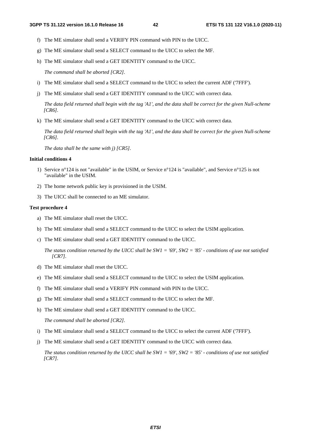- f) The ME simulator shall send a VERIFY PIN command with PIN to the UICC.
- g) The ME simulator shall send a SELECT command to the UICC to select the MF.
- h) The ME simulator shall send a GET IDENTITY command to the UICC.

*The command shall be aborted [CR2].*

- i) The ME simulator shall send a SELECT command to the UICC to select the current ADF ('7FFF').
- j) The ME simulator shall send a GET IDENTITY command to the UICC with correct data.

*The data field returned shall begin with the tag 'A1', and the data shall be correct for the given Null-scheme [CR6].* 

k) The ME simulator shall send a GET IDENTITY command to the UICC with correct data.

*The data field returned shall begin with the tag 'A1', and the data shall be correct for the given Null-scheme [CR6].* 

*The data shall be the same with j) [CR5].*

#### **Initial conditions 4**

- 1) Service n°124 is not "available" in the USIM, or Service n°124 is "available", and Service n°125 is not "available" in the USIM.
- 2) The home network public key is provisioned in the USIM.
- 3) The UICC shall be connected to an ME simulator.

#### **Test procedure 4**

- a) The ME simulator shall reset the UICC.
- b) The ME simulator shall send a SELECT command to the UICC to select the USIM application.
- c) The ME simulator shall send a GET IDENTITY command to the UICC.

*The status condition returned by the UICC shall be SW1 = '69', SW2 = '85' - conditions of use not satisfied [CR7].*

- d) The ME simulator shall reset the UICC.
- e) The ME simulator shall send a SELECT command to the UICC to select the USIM application.
- f) The ME simulator shall send a VERIFY PIN command with PIN to the UICC.
- g) The ME simulator shall send a SELECT command to the UICC to select the MF.
- h) The ME simulator shall send a GET IDENTITY command to the UICC.

*The command shall be aborted [CR2].*

- i) The ME simulator shall send a SELECT command to the UICC to select the current ADF ('7FFF').
- j) The ME simulator shall send a GET IDENTITY command to the UICC with correct data.

*The status condition returned by the UICC shall be SW1 = '69', SW2 = '85' - conditions of use not satisfied [CR7].*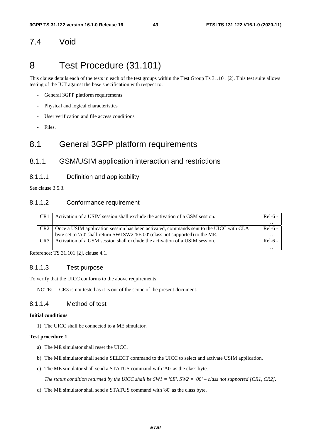### 7.4 Void

## 8 Test Procedure (31.101)

This clause details each of the tests in each of the test groups within the Test Group Ts 31.101 [2]. This test suite allows testing of the IUT against the base specification with respect to:

- General 3GPP platform requirements
- Physical and logical characteristics
- User verification and file access conditions
- Files.

### 8.1 General 3GPP platform requirements

### 8.1.1 GSM/USIM application interaction and restrictions

#### 8.1.1.1 Definition and applicability

See clause 3.5.3.

#### 8.1.1.2 Conformance requirement

| CR1             | Activation of a USIM session shall exclude the activation of a GSM session.            | $Rel-6 -$ |
|-----------------|----------------------------------------------------------------------------------------|-----------|
|                 |                                                                                        | $\cdots$  |
| CR <sub>2</sub> | Once a USIM application session has been activated, commands sent to the UICC with CLA | $Rel-6 -$ |
|                 | byte set to 'A0' shall return SW1SW2 '6E 00' (class not supported) to the ME.          | $\cdots$  |
| CR <sub>3</sub> | Activation of a GSM session shall exclude the activation of a USIM session.            | $Rel-6 -$ |
|                 |                                                                                        | $\cdot$   |

Reference: TS 31.101 [2], clause 4.1.

#### 8.1.1.3 Test purpose

To verify that the UICC conforms to the above requirements.

NOTE: CR3 is not tested as it is out of the scope of the present document.

#### 8.1.1.4 Method of test

#### **Initial conditions**

1) The UICC shall be connected to a ME simulator.

#### **Test procedure 1**

- a) The ME simulator shall reset the UICC.
- b) The ME simulator shall send a SELECT command to the UICC to select and activate USIM application.
- c) The ME simulator shall send a STATUS command with 'A0' as the class byte.

 *The status condition returned by the UICC shall be SW1 = '6E', SW2 = '00' – class not supported [CR1, CR2].* 

d) The ME simulator shall send a STATUS command with '80' as the class byte.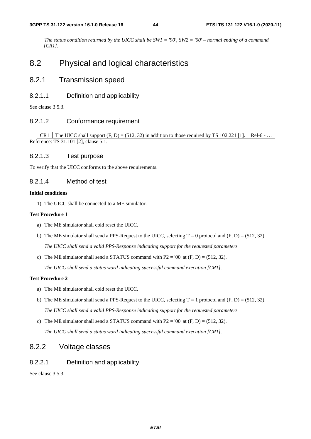*The status condition returned by the UICC shall be SW1 = '90', SW2 = '00' – normal ending of a command [CR1].*

## 8.2 Physical and logical characteristics

### 8.2.1 Transmission speed

#### 8.2.1.1 Definition and applicability

See clause 3.5.3.

#### 8.2.1.2 Conformance requirement

CR1 The UICC shall support  $(F, D) = (512, 32)$  in addition to those required by TS 102.221 [1]. Rel-6 - ... Reference: TS 31.101 [2], clause 5.1.

#### 8.2.1.3 Test purpose

To verify that the UICC conforms to the above requirements.

#### 8.2.1.4 Method of test

#### **Initial conditions**

1) The UICC shall be connected to a ME simulator.

#### **Test Procedure 1**

- a) The ME simulator shall cold reset the UICC.
- b) The ME simulator shall send a PPS-Request to the UICC, selecting  $T = 0$  protocol and  $(F, D) = (512, 32)$ .  *The UICC shall send a valid PPS-Response indicating support for the requested parameters.*
- c) The ME simulator shall send a STATUS command with  $P2 = 00'$  at  $(F, D) = (512, 32)$ .

 *The UICC shall send a status word indicating successful command execution [CR1].*

#### **Test Procedure 2**

- a) The ME simulator shall cold reset the UICC.
- b) The ME simulator shall send a PPS-Request to the UICC, selecting  $T = 1$  protocol and  $(F, D) = (512, 32)$ .  *The UICC shall send a valid PPS-Response indicating support for the requested parameters.*
- c) The ME simulator shall send a STATUS command with  $P2 = 00'$  at  $(F, D) = (512, 32)$ .  *The UICC shall send a status word indicating successful command execution [CR1].*

### 8.2.2 Voltage classes

#### 8.2.2.1 Definition and applicability

See clause 3.5.3.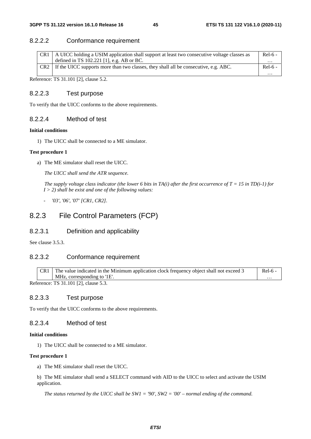#### 8.2.2.2 Conformance requirement

| CR1             | A UICC holding a USIM application shall support at least two consecutive voltage classes as | $Rel-6 -$         |
|-----------------|---------------------------------------------------------------------------------------------|-------------------|
|                 | defined in TS $102.221$ [1], e.g. AB or BC.                                                 | $\cdots$          |
| CR <sub>2</sub> | If the UICC supports more than two classes, they shall all be consecutive, e.g. ABC.        | $Rel-6$ -         |
|                 |                                                                                             | $\cdot\cdot\cdot$ |

Reference: TS 31.101 [2], clause 5.2.

#### 8.2.2.3 Test purpose

To verify that the UICC conforms to the above requirements.

#### 8.2.2.4 Method of test

#### **Initial conditions**

1) The UICC shall be connected to a ME simulator.

#### **Test procedure 1**

a) The ME simulator shall reset the UICC.

 *The UICC shall send the ATR sequence.* 

*The supply voltage class indicator (the lower 6 bits in TA(i) after the first occurrence of T = 15 in TD(i-1) for I > 2) shall be exist and one of the following values:* 

*- '03', '06', '07' [CR1, CR2].* 

### 8.2.3 File Control Parameters (FCP)

#### 8.2.3.1 Definition and applicability

See clause 3.5.3.

#### 8.2.3.2 Conformance requirement

| CR1                                                                         | The value indicated in the Minimum application clock frequency object shall not exceed 3 | Rel-6 |  |  |  |  |  |  |
|-----------------------------------------------------------------------------|------------------------------------------------------------------------------------------|-------|--|--|--|--|--|--|
|                                                                             | MHz, corresponding to '1E'.                                                              |       |  |  |  |  |  |  |
| $D_{\alpha} f_{\alpha}$ $\ldots$ $\ldots$ TC 21.101.121.4 $\ldots$ $\in$ 2. |                                                                                          |       |  |  |  |  |  |  |

Reference: TS 31.101 [2], clause 5.3.

#### 8.2.3.3 Test purpose

To verify that the UICC conforms to the above requirements.

#### 8.2.3.4 Method of test

#### **Initial conditions**

1) The UICC shall be connected to a ME simulator.

#### **Test procedure 1**

a) The ME simulator shall reset the UICC.

b) The ME simulator shall send a SELECT command with AID to the UICC to select and activate the USIM application.

*The status returned by the UICC shall be SW1 = '90', SW2 = '00' – normal ending of the command.*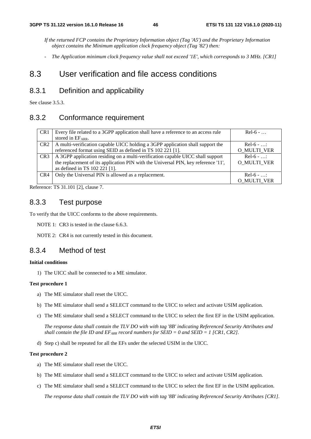*If the returned FCP contains the Proprietary Information object (Tag 'A5') and the Proprietary Information object contains the Minimum application clock frequency object (Tag '82') then:* 

*- The Application minimum clock frequency value shall not exceed '1E', which corresponds to 3 MHz. [CR1]* 

### 8.3 User verification and file access conditions

### 8.3.1 Definition and applicability

See clause 3.5.3.

### 8.3.2 Conformance requirement

| CR <sub>1</sub> | Every file related to a 3GPP application shall have a reference to an access rule  | $Rel-6$ -          |
|-----------------|------------------------------------------------------------------------------------|--------------------|
|                 | stored in $EF_{ARR.}$                                                              |                    |
| CR <sub>2</sub> | A multi-verification capable UICC holding a 3GPP application shall support the     | $Re1-6 - $         |
|                 | referenced format using SEID as defined in TS 102 221 [1].                         | O_MULTI_VER        |
| CR <sub>3</sub> | A 3GPP application residing on a multi-verification capable UICC shall support     | $Rel-6$ - $\ldots$ |
|                 | the replacement of its application PIN with the Universal PIN, key reference '11', | <b>O MULTI VER</b> |
|                 | as defined in TS 102 221 [1].                                                      |                    |
| CR4             | Only the Universal PIN is allowed as a replacement.                                | $Re1-6$ - :        |
|                 |                                                                                    | <b>O MULTI VER</b> |

Reference: TS 31.101 [2], clause 7.

#### 8.3.3 Test purpose

To verify that the UICC conforms to the above requirements.

NOTE 1: CR3 is tested in the clause 6.6.3.

NOTE 2: CR4 is not currently tested in this document.

### 8.3.4 Method of test

#### **Initial conditions**

1) The UICC shall be connected to a ME simulator.

#### **Test procedure 1**

- a) The ME simulator shall reset the UICC.
- b) The ME simulator shall send a SELECT command to the UICC to select and activate USIM application.
- c) The ME simulator shall send a SELECT command to the UICC to select the first EF in the USIM application.

*The response data shall contain the TLV DO with with tag '8B' indicating Referenced Security Attributes and shall contain the file ID and*  $EF_{ARR}$  *record numbers for SEID = 0 and SEID = 1 [CR1, CR2].* 

d) Step c) shall be repeated for all the EFs under the selected USIM in the UICC.

#### **Test procedure 2**

- a) The ME simulator shall reset the UICC.
- b) The ME simulator shall send a SELECT command to the UICC to select and activate USIM application.
- c) The ME simulator shall send a SELECT command to the UICC to select the first EF in the USIM application.

*The response data shall contain the TLV DO with with tag '8B' indicating Referenced Security Attributes [CR1].*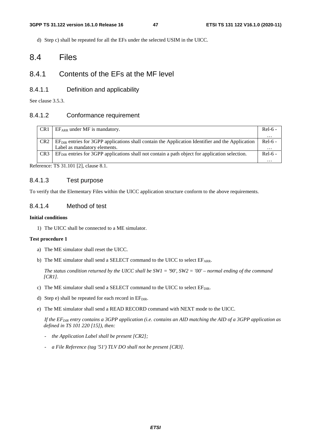d) Step c) shall be repeated for all the EFs under the selected USIM in the UICC.

### 8.4 Files

### 8.4.1 Contents of the EFs at the MF level

#### 8.4.1.1 Definition and applicability

See clause 3.5.3.

#### 8.4.1.2 Conformance requirement

| CR <sub>1</sub> | $EF_{ARR}$ under MF is mandatory.                                                                           | Rel-6 -   |
|-----------------|-------------------------------------------------------------------------------------------------------------|-----------|
|                 |                                                                                                             | $\cdots$  |
| CR <sub>2</sub> | $E_{\text{DIR}}$ entries for 3GPP applications shall contain the Application Identifier and the Application | $Rel-6 -$ |
|                 | Label as mandatory elements.                                                                                | $\cdots$  |
| CR <sub>3</sub> | $EFDIR$ entries for 3GPP applications shall not contain a path object for application selection.            | $Rel-6 -$ |
|                 |                                                                                                             |           |

Reference: TS 31.101 [2], clause 8.1.

#### 8.4.1.3 Test purpose

To verify that the Elementary Files within the UICC application structure conform to the above requirements.

#### 8.4.1.4 Method of test

#### **Initial conditions**

1) The UICC shall be connected to a ME simulator.

#### **Test procedure 1**

- a) The ME simulator shall reset the UICC.
- b) The ME simulator shall send a SELECT command to the UICC to select EFARR.

 *The status condition returned by the UICC shall be SW1 = '90', SW2 = '00' – normal ending of the command [CR1].*

- c) The ME simulator shall send a SELECT command to the UICC to select EFDIR.
- d) Step e) shall be repeated for each record in  $E_{\text{DIR}}$ .
- e) The ME simulator shall send a READ RECORD command with NEXT mode to the UICC.

 *If the EFDIR entry contains a 3GPP application (i.e. contains an AID matching the AID of a 3GPP application as defined in TS 101 220 [15]), then:* 

- *the Application Label shall be present [CR2];*
- *a File Reference (tag '51') TLV DO shall not be present [CR3].*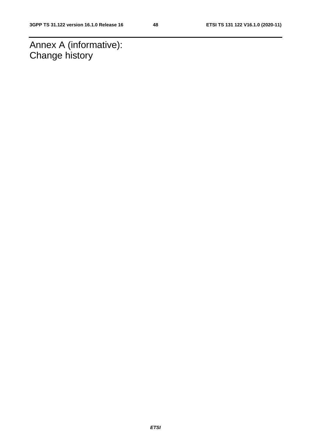Annex A (informative): Change history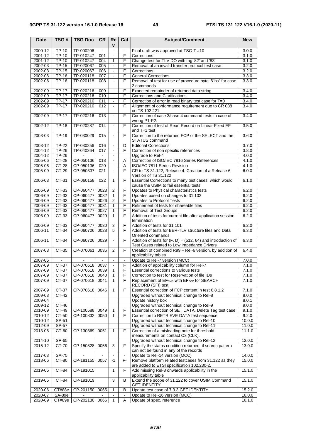| <b>Date</b>        | TSG#                    | <b>TSG Doc</b>         | <b>CR</b>      | Re             | Cat            | Subject/Comment                                                     | <b>New</b>     |
|--------------------|-------------------------|------------------------|----------------|----------------|----------------|---------------------------------------------------------------------|----------------|
|                    |                         |                        |                | $\mathbf v$    |                |                                                                     |                |
| 2000-12            | TP-10                   | TP-000206              | $\blacksquare$ | $\blacksquare$ | $\blacksquare$ | Final draft was approved at TSG-T #10                               | 3.0.0          |
| 2001-12            | TP-10                   | TP-010247              | 001            | $\sim$         | F              | Corrections                                                         | 3.1.0          |
| 2001-12            | <b>TP-10</b>            | TP-010247              | 004            | 1              | F              | Change test for TLV DO with tag '82' and '83'                       | 3.1.0          |
| 2002-03<br>2002-03 | <b>TP-15</b><br>$TP-15$ | TP-020067<br>TP-020067 | 005<br>006     |                | F<br>F         | Removal of an invalid transfer protocol test case<br>Corrections    | 3.2.0<br>3.2.0 |
|                    |                         | TP-020118              |                |                | F              |                                                                     |                |
| 2002-06            | <b>TP-16</b>            |                        | 007            | $\blacksquare$ |                | <b>General Corrections</b>                                          | 3.3.0          |
| 2002-06            | <b>TP-16</b>            | TP-020118              | 008            |                | F              | Removal of test for use of procedure byte '61xx' for case           | 3.3.0          |
| 2002-09            | <b>TP-17</b>            | TP-020216              | 009            |                | F              | 2 commands<br>Expected remainder of returned data string            | 3.4.0          |
| 2002-09            | $TP-17$                 | TP-020216              | 010            |                | F              | <b>Corrections and Clarifications</b>                               | 3.4.0          |
| 2002-09            | $TP-17$                 | TP-020216              | 011            | $\blacksquare$ | F              |                                                                     | 3.4.0          |
| 2002-09            | <b>TP-17</b>            | TP-020216              |                | $\sim$         | F              | Correction of error in read binary test case for T=0                |                |
|                    |                         |                        | 012            |                |                | Alignment of conformance requirement due to CR 088<br>on TS 102 221 | 3.4.0          |
| 2002-09            | $TP-17$                 | TP-020216              | 013            | $\blacksquare$ | F              | Correction of case 3/case 4 command tests in case of                | 3.4.0          |
|                    |                         |                        |                |                |                | wrong P1-P2.                                                        |                |
| 2002-12            | <b>TP-18</b>            | TP-020287              | 014            | $\blacksquare$ | F              | Correction of test of Read Record on Linear Fixed EF                | 3.5.0          |
|                    |                         |                        |                |                |                | and $T=1$ test                                                      |                |
| 2003-03            | <b>TP-19</b>            | TP-030029              | 015            | $\blacksquare$ | F              | Correction to the returned FCP of the SELECT and the                | 3.6.0          |
|                    |                         |                        |                |                |                | STATUS command                                                      |                |
| 2003-12            | <b>TP-22</b>            | TP-030256              | 016            |                | D              | <b>Editorial Corrections</b>                                        | 3.7.0          |
| 2004-12            | <b>TP-26</b>            | TP-040264              | 017            | $\blacksquare$ | F              | Correction of non specific references                               | 3.8.0          |
| 2004-12            | TP-26                   | $\sim$                 | $\sim$         | $\sim$         |                | Upgrade to Rel-4                                                    | 4.0.0          |
| 2005-06            | CT-28                   | CP-050136              | 018            |                | Α              | Correction of ISO/IEC 7816 Series References                        | 4.1.0          |
| 2005-06            | CT-28                   | CP-050136              | 020            | $\blacksquare$ | Α              | ISO/IEC 7811 Series Revision                                        | 4.1.0          |
| 2005-09            | CT-29                   | CP-050337              | 021            |                | F              | CR to TS 31.122, Release 4: Creation of a Release 6                 | 6.0.0          |
|                    |                         |                        |                |                |                | Version of TS 31.122                                                |                |
| 2006-03            | CT-31                   | CP-060158              | 022            | $\mathbf{1}$   | F              | Essential Corrections to many test cases, which would               | 6.1.0          |
|                    |                         |                        |                |                |                | cause the USIM to fail essential tests                              |                |
| 2006-09            | CT-33                   | CP-060477              | 0023           | 2              | F              | Updates to Physical characteristics tests                           | 6.2.0          |
| 2006-09            | CT-33                   | CP-060477              | 0032           | 1              | F              | Updates based on changes to 31.102                                  | 6.2.0          |
| 2006-09            | CT-33                   | CP-060477              | 0026           | $\overline{2}$ | F              | Updates to Protocol Tests                                           | 6.2.0          |
| 2006-09            | CT-33                   | CP-060477              | 0031           | 1              | F              | Refinement of tests for shareable files                             | 6.2.0          |
| 2006-09            | CT-33                   | CP-060477              | 0027           | 1              | F              | <b>Removal of Test Groups</b>                                       | 6.2.0          |
| 2006-09            | CT-33                   | CP-060477              | 0029           | 1              | F              | Addition of tests for current file after application session        | 6.2.0          |
|                    |                         |                        |                |                |                | termination                                                         |                |
| 2006-09            | CT-33                   | CP-060477              | 0030           | 3              | F              | Addition of tests for 31.101                                        | 6.2.0          |
| 2006-11            | CT-34                   | CP-060726              | 0028           | 5              | F              | Addition of tests for BER-TLV structure files and Data              | 6.3.0          |
|                    |                         |                        |                |                |                | Oriented commands                                                   |                |
| 2006-11            | CT-34                   | CP-060726 0029         |                | $\blacksquare$ | F              | Addition of tests for $(F, D) = (512, 64)$ and introduction of      | 6.3.0          |
|                    |                         |                        |                |                |                | Test Cases related to Low Impedance Drivers                         |                |
| 2007-03            | CT-35                   | CP-070061              | 0036           | $\overline{2}$ | F              | Creation of combined R99 - Rel-6 version, by addition of            | 6.4.0          |
|                    |                         |                        |                |                |                | applicability tables                                                |                |
| 2007-06            |                         |                        |                | $\blacksquare$ | $\blacksquare$ | Update to Rel-7 version (MCC)                                       | 7.0.0          |
| 2007-09            | CT-37                   | CP-070618 0037         |                | $\blacksquare$ | F              | Addition of applicability column for Rel-7                          | 7.1.0          |
| 2007-09            |                         | CT-37 CP-070618 0039   |                | $\mathbf{1}$   | $\overline{F}$ | Essential corrections to various tests                              | 7.1.0          |
| 2007-09            | CT-37                   | CP-070618 0040         |                | 1              | F              | Correction to test for Reservation of file IDs                      | 7.1.0          |
| 2007-09            | CT-37                   | CP-070618 0041         |                | 1              | F              | Replacement of EF <sub>SMS</sub> with EF <sub>ECC</sub> for SEARCH  | 7.1.0          |
|                    |                         |                        |                |                |                | RECORD (SFI) test                                                   |                |
| 2007-09            | CT-37                   | CP-070618              | 0046           | 1              | F              | Essential correction of FCP content in test 6.8.1.2                 | 7.1.0          |
| 2009-03            | CT-42                   |                        |                |                |                | Upgraded without technical change to Rel-8                          | 8.0.0          |
| 2009-04            |                         |                        |                |                |                | Update history box                                                  | 8.0.1          |
| 2009-12            | CT-46                   |                        |                |                |                | Upgraded without technical change to Rel-9                          | 9.0.0          |
| 2010-09            | CT-49                   | CP-100588              | 0049           | $\mathbf{1}$   | F              | Essential correction of SET DATA, Delete Tag test case              | 9.1.0          |
| 2010-12            | CT-50                   | CP-100832              | 0050           | 1              | F.             | Correction to RETRIEVE DATA test sequence                           | 9.2.0          |
| 2010-12            | SP-51                   |                        |                |                |                | Upgraded without technical change to Rel-10                         | 10.0.0         |
| 2012-09            | SP-57                   |                        |                |                |                | Upgraded without technical change to Rel-11                         | 11.0.0         |
| 2013-06            | CT-60                   | CP-130369              | 0051           | 1              | F.             | Correction of a misleading note for threshold                       | 11.1.0         |
|                    |                         |                        |                |                |                | measurements on contact C3 (CLK).                                   |                |
| 2014-10            | SP-65                   |                        |                |                |                | Upgraded without technical change to Rel-12                         | 12.0.0         |
| 2015-12            | CT-70                   | CP-150828              | 0056           | 3              | F              | Specify the status condition returned if search pattern             | 13.0.0         |
|                    |                         |                        |                |                |                | can not be found in any of the records                              |                |
| 2017-03            | <b>SA-75</b>            |                        |                |                |                | Update to Rel-14 version (MCC)                                      | 14.0.0         |
| 2018-06            | CT-80                   | CP-181155              | 0057           | $-1$           | F-             | Remove platform related testcases from 31.122 as they               | 15.0.0         |
|                    |                         |                        |                |                |                | are added to ETSI specification 102.230-2.                          |                |
| 2019-06            | CT-84                   | CP-191015              |                | $\mathbf{1}$   | F              | Add missing Rel-8 onwards applicability in the                      | 15.1.0         |
|                    |                         |                        |                |                |                | applicability table                                                 |                |
| 2019-06            | CT-84                   | CP-191019              |                | 3              | В              | Extend the scope of 31.122 to cover USIM Command                    | 15.1.0         |
|                    |                         |                        |                |                |                | <b>GET IDENTITY</b>                                                 |                |
| 2020-06            | CT#88e                  | CP-201150              | 0065           | 1              | В              | Update test case of 7.3.3 GET IDENTITY                              | 15.2.0         |
| 2020-07            | <b>SA-89e</b>           |                        |                |                |                | Update to Rel-16 version (MCC)                                      | 16.0.0         |
| 2020-09            | CT#89e                  | CP-202130              | 0066           | 1              | Α              | Update of spec. reference                                           | 16.1.0         |